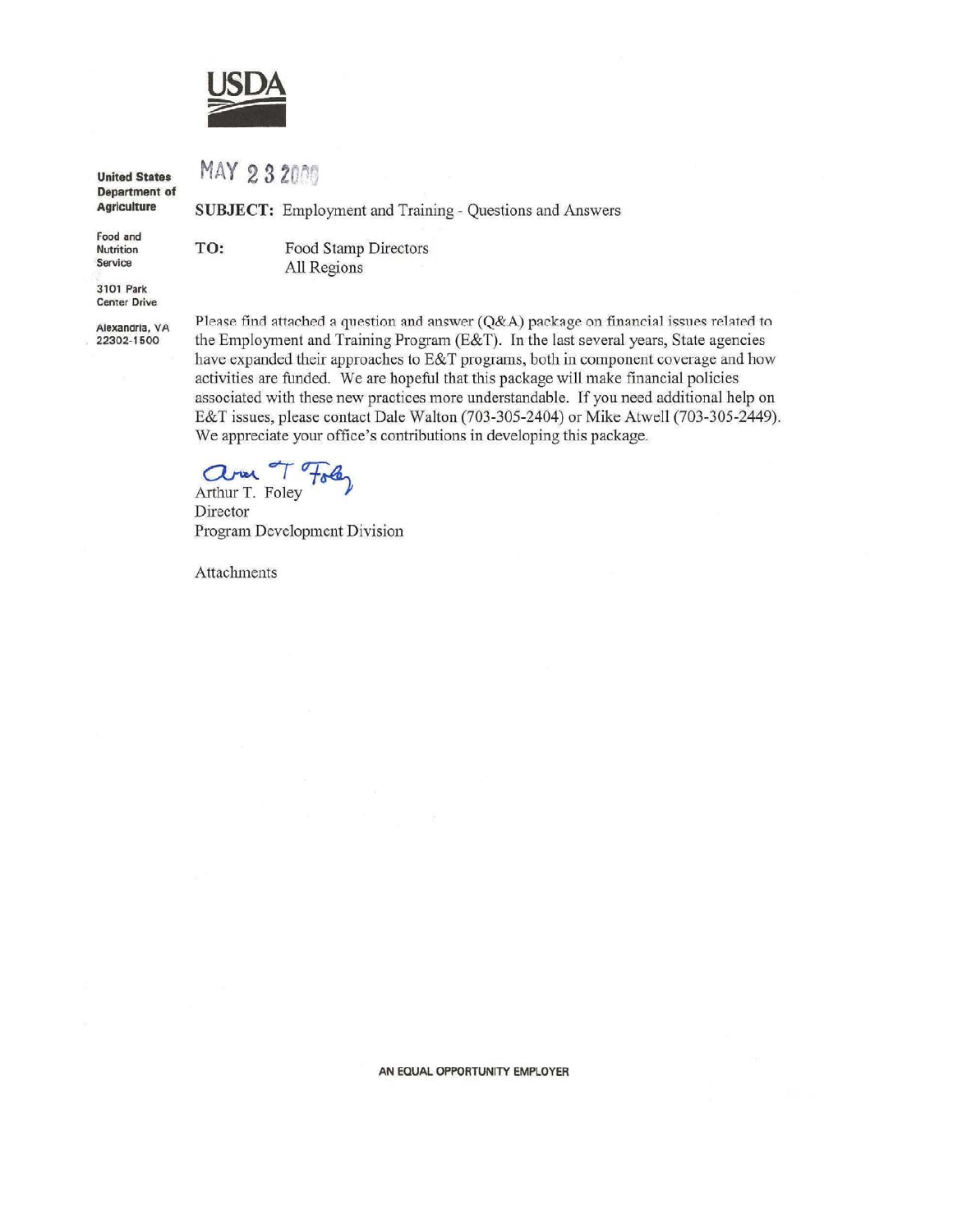

MAY 232009

TO:

**United States** Department of **Agriculture** 

Food and **Nutrition** Service

Food Stamp Directors All Regions

SUBJECT: Employment and Training - Questions and Answers

3101 Park **Center Drive** 

Alexandria, VA 22302-1500

Please find attached a question and answer (Q&A) package on financial issues related to the Employment and Training Program (E&T). In the last several years, State agencies have expanded their approaches to E&T programs, both in component coverage and how activities are funded. We are hopeful that this package will make financial policies associated with these new practices more understandable. If you need additional help on E&T issues, please contact Dale Walton (703-305-2404) or Mike Atwell (703-305-2449). We appreciate your office's contributions in developing this package.

Arthur T. Foley

Director Program Development Division

Attachments

AN EQUAL OPPORTUNITY EMPLOYER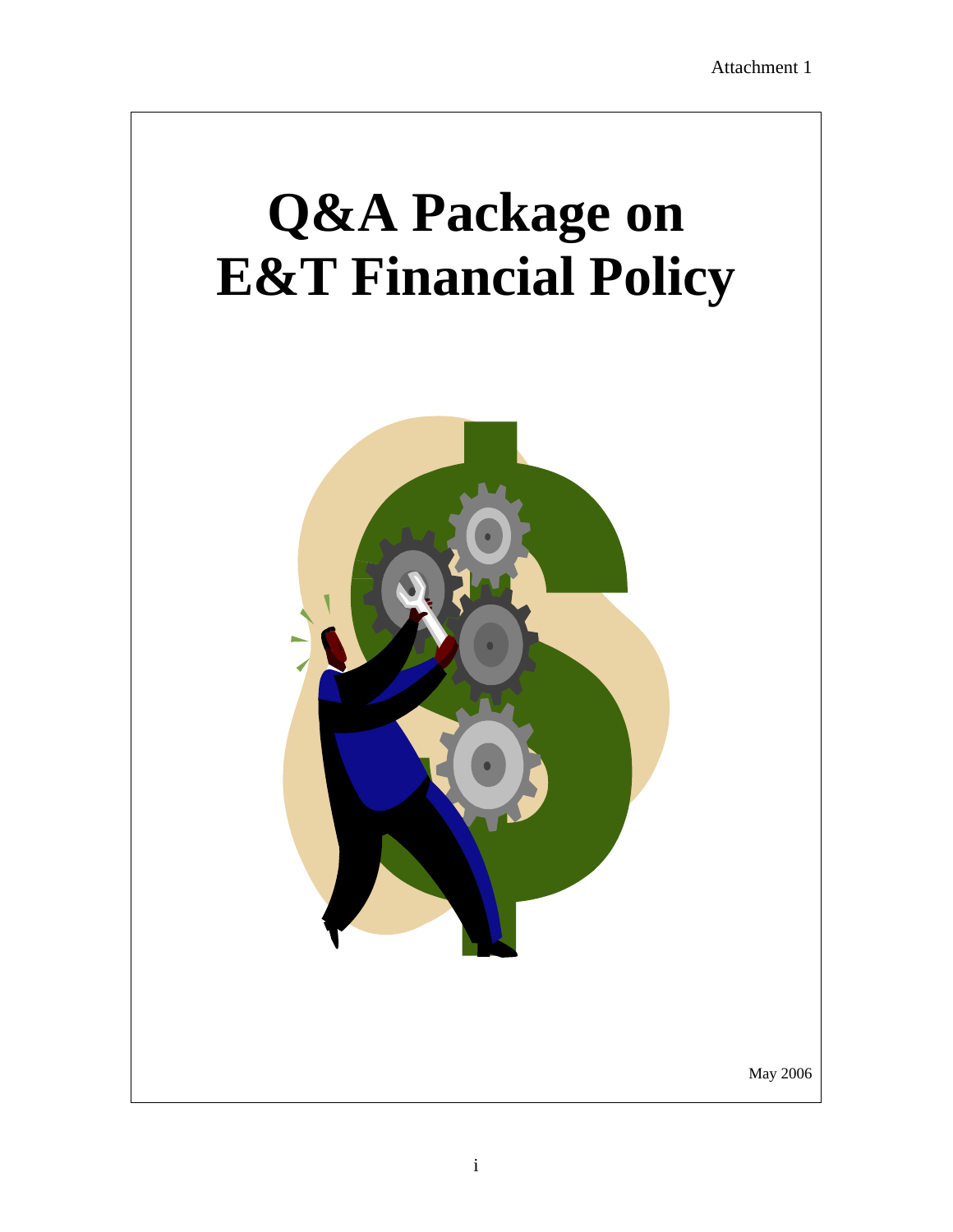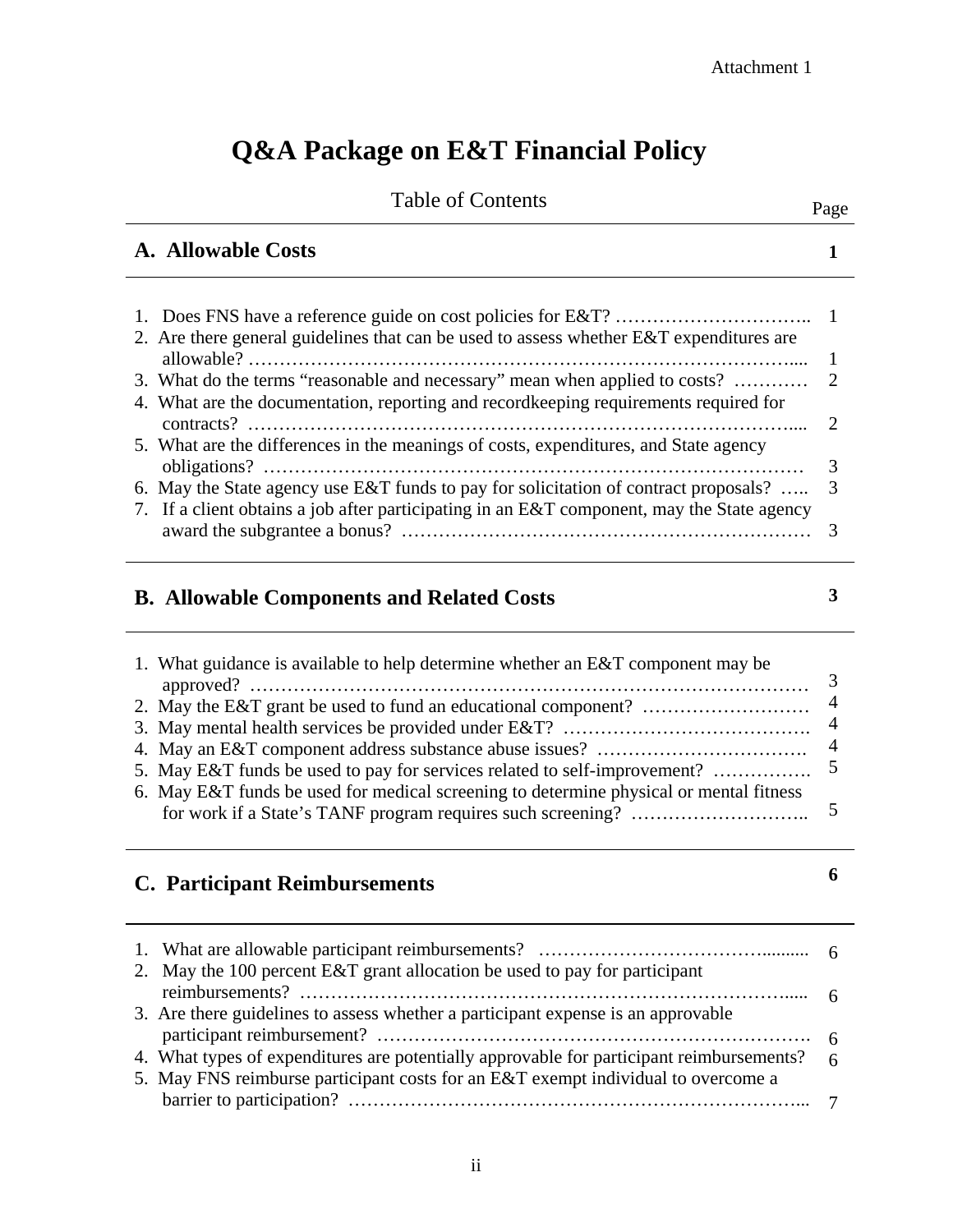# **Q&A Package on E&T Financial Policy**

| <b>Table of Contents</b>                                                                                                                                                                                                                                                   | Page                |
|----------------------------------------------------------------------------------------------------------------------------------------------------------------------------------------------------------------------------------------------------------------------------|---------------------|
| A. Allowable Costs                                                                                                                                                                                                                                                         |                     |
| 2. Are there general guidelines that can be used to assess whether E&T expenditures are                                                                                                                                                                                    |                     |
| 3. What do the terms "reasonable and necessary" mean when applied to costs?<br>4. What are the documentation, reporting and recordkeeping requirements required for                                                                                                        | $\overline{2}$<br>2 |
| 5. What are the differences in the meanings of costs, expenditures, and State agency<br>6. May the State agency use E&T funds to pay for solicitation of contract proposals?<br>7. If a client obtains a job after participating in an E&T component, may the State agency | 3                   |
|                                                                                                                                                                                                                                                                            |                     |

# **B. Allowable Components and Related Costs**

**3** 

| 1. What guidance is available to help determine whether an E&T component may be        |                          |
|----------------------------------------------------------------------------------------|--------------------------|
|                                                                                        | $\overline{\phantom{a}}$ |
|                                                                                        |                          |
|                                                                                        |                          |
|                                                                                        |                          |
|                                                                                        |                          |
| 6. May E&T funds be used for medical screening to determine physical or mental fitness |                          |
|                                                                                        |                          |
|                                                                                        |                          |

# **C. Participant Reimbursements**

**6** 

| 2. May the 100 percent E&T grant allocation be used to pay for participant                 |  |
|--------------------------------------------------------------------------------------------|--|
|                                                                                            |  |
| 3. Are there guidelines to assess whether a participant expense is an approvable           |  |
|                                                                                            |  |
| 4. What types of expenditures are potentially approvable for participant reimbursements? 6 |  |
| 5. May FNS reimburse participant costs for an E&T exempt individual to overcome a          |  |
|                                                                                            |  |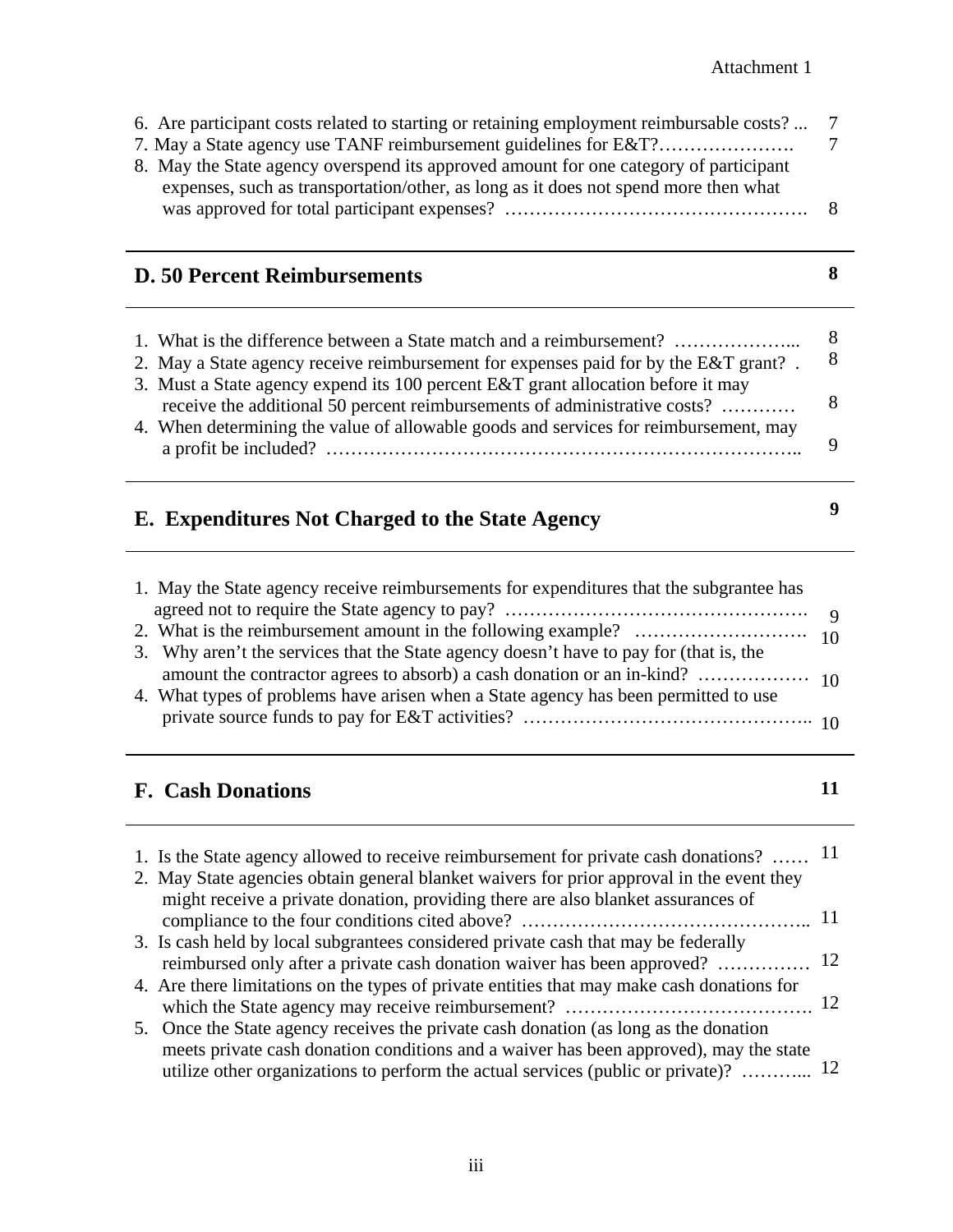7

| 7. May a State agency use TANF reimbursement guidelines for E&T?<br>8. May the State agency overspend its approved amount for one category of participant<br>expenses, such as transportation/other, as long as it does not spend more then what                 | 7       |
|------------------------------------------------------------------------------------------------------------------------------------------------------------------------------------------------------------------------------------------------------------------|---------|
|                                                                                                                                                                                                                                                                  | 8       |
| <b>D. 50 Percent Reimbursements</b>                                                                                                                                                                                                                              | 8       |
| 1. What is the difference between a State match and a reimbursement?<br>2. May a State agency receive reimbursement for expenses paid for by the E&T grant?.<br>3. Must a State agency expend its 100 percent E&T grant allocation before it may                 | 8<br>8  |
| receive the additional 50 percent reimbursements of administrative costs?                                                                                                                                                                                        | 8       |
| 4. When determining the value of allowable goods and services for reimbursement, may                                                                                                                                                                             | 9       |
| E. Expenditures Not Charged to the State Agency                                                                                                                                                                                                                  | 9       |
| 1. May the State agency receive reimbursements for expenditures that the subgrantee has                                                                                                                                                                          |         |
| agreed not to require the State agency to pay?                                                                                                                                                                                                                   | 9<br>10 |
| 3. Why aren't the services that the State agency doesn't have to pay for (that is, the                                                                                                                                                                           | 10      |
| 4. What types of problems have arisen when a State agency has been permitted to use                                                                                                                                                                              |         |
| <b>F. Cash Donations</b>                                                                                                                                                                                                                                         | 11      |
| 1. Is the State agency allowed to receive reimbursement for private cash donations?  11<br>2. May State agencies obtain general blanket waivers for prior approval in the event they                                                                             |         |
| might receive a private donation, providing there are also blanket assurances of                                                                                                                                                                                 | 11      |
| 3. Is cash held by local subgrantees considered private cash that may be federally<br>reimbursed only after a private cash donation waiver has been approved?                                                                                                    | 12      |
| 4. Are there limitations on the types of private entities that may make cash donations for                                                                                                                                                                       |         |
| 5. Once the State agency receives the private cash donation (as long as the donation<br>meets private cash donation conditions and a waiver has been approved), may the state<br>utilize other organizations to perform the actual services (public or private)? | 12      |

6. Are participant costs related to starting or retaining employment reimbursable costs? ...

 $\overline{a}$ 

 $\overline{a}$ 

 $\overline{a}$ 

 $\overline{a}$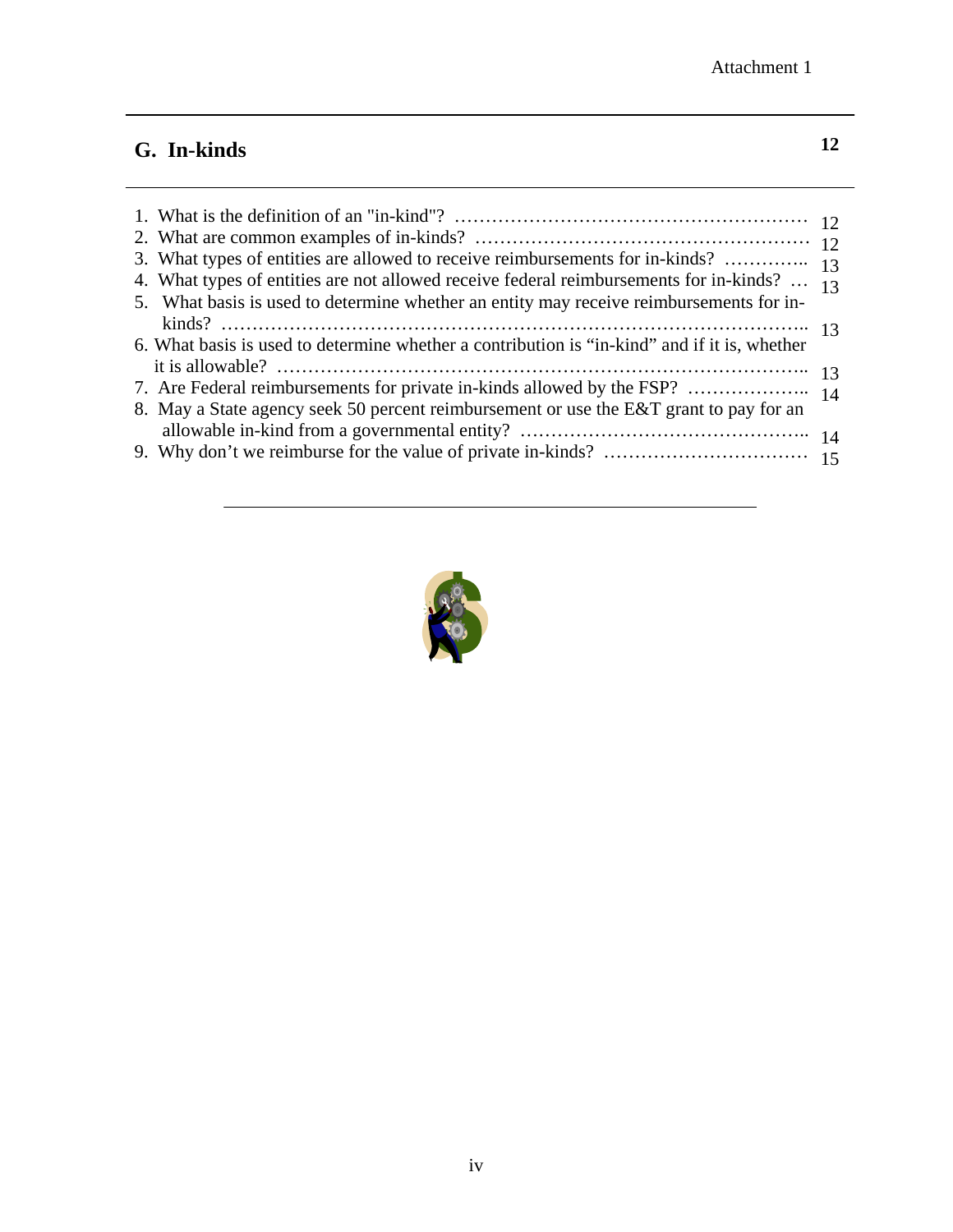# **G. In-kinds**

| 4. What types of entities are not allowed receive federal reimbursements for in-kinds? $_{13}$<br>5. What basis is used to determine whether an entity may receive reimbursements for in- |  |
|-------------------------------------------------------------------------------------------------------------------------------------------------------------------------------------------|--|
| 6. What basis is used to determine whether a contribution is "in-kind" and if it is, whether                                                                                              |  |
|                                                                                                                                                                                           |  |
|                                                                                                                                                                                           |  |
| 8. May a State agency seek 50 percent reimbursement or use the E&T grant to pay for an                                                                                                    |  |
|                                                                                                                                                                                           |  |
|                                                                                                                                                                                           |  |

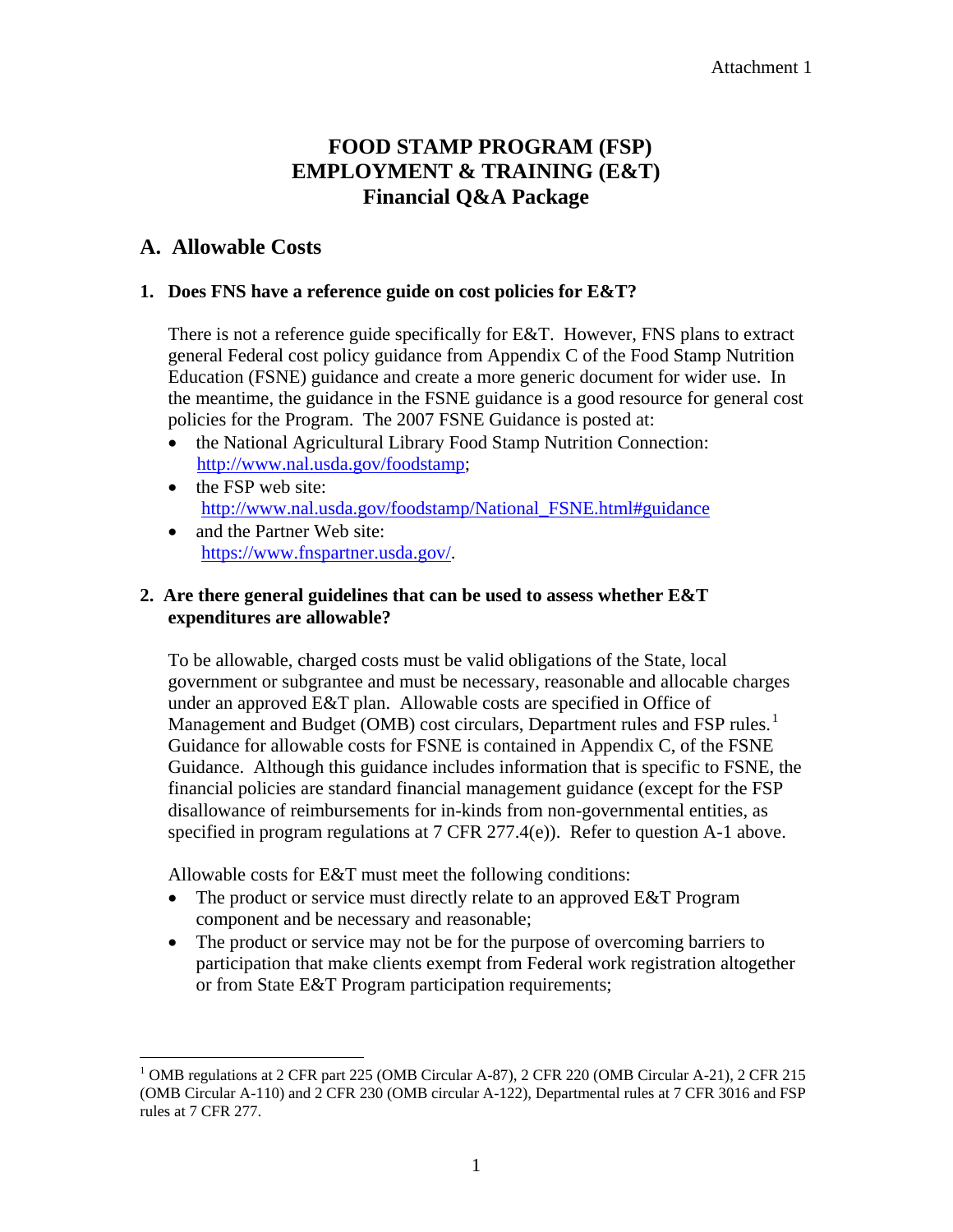#### Attachment 1

# **FOOD STAMP PROGRAM (FSP) EMPLOYMENT & TRAINING (E&T) Financial Q&A Package**

## **A. Allowable Costs**

1

#### **1. Does FNS have a reference guide on cost policies for E&T?**

There is not a reference guide specifically for E&T. However, FNS plans to extract general Federal cost policy guidance from Appendix C of the Food Stamp Nutrition Education (FSNE) guidance and create a more generic document for wider use. In the meantime, the guidance in the FSNE guidance is a good resource for general cost policies for the Program. The 2007 FSNE Guidance is posted at:

- the National Agricultural Library Food Stamp Nutrition Connection: http://www.nal.usda.gov/foodstamp;
- the FSP web site: http://www.nal.usda.gov/foodstamp/National\_FSNE.html#guidance
- and the Partner Web site: https://www.fnspartner.usda.gov/.

## **2. Are there general guidelines that can be used to assess whether E&T expenditures are allowable?**

To be allowable, charged costs must be valid obligations of the State, local government or subgrantee and must be necessary, reasonable and allocable charges under an approved E&T plan. Allowable costs are specified in Office of Management and Budget (OMB) cost circulars, Department rules and FSP rules.<sup>1</sup> Guidance for allowable costs for FSNE is contained in Appendix C, of the FSNE Guidance. Although this guidance includes information that is specific to FSNE, the financial policies are standard financial management guidance (except for the FSP disallowance of reimbursements for in-kinds from non-governmental entities, as specified in program regulations at 7 CFR 277.4(e)). Refer to question A-1 above.

Allowable costs for E&T must meet the following conditions:

- The product or service must directly relate to an approved E&T Program component and be necessary and reasonable;
- The product or service may not be for the purpose of overcoming barriers to participation that make clients exempt from Federal work registration altogether or from State E&T Program participation requirements;

<sup>&</sup>lt;sup>1</sup> OMB regulations at 2 CFR part 225 (OMB Circular A-87), 2 CFR 220 (OMB Circular A-21), 2 CFR 215 (OMB Circular A-110) and 2 CFR 230 (OMB circular A-122), Departmental rules at 7 CFR 3016 and FSP rules at 7 CFR 277.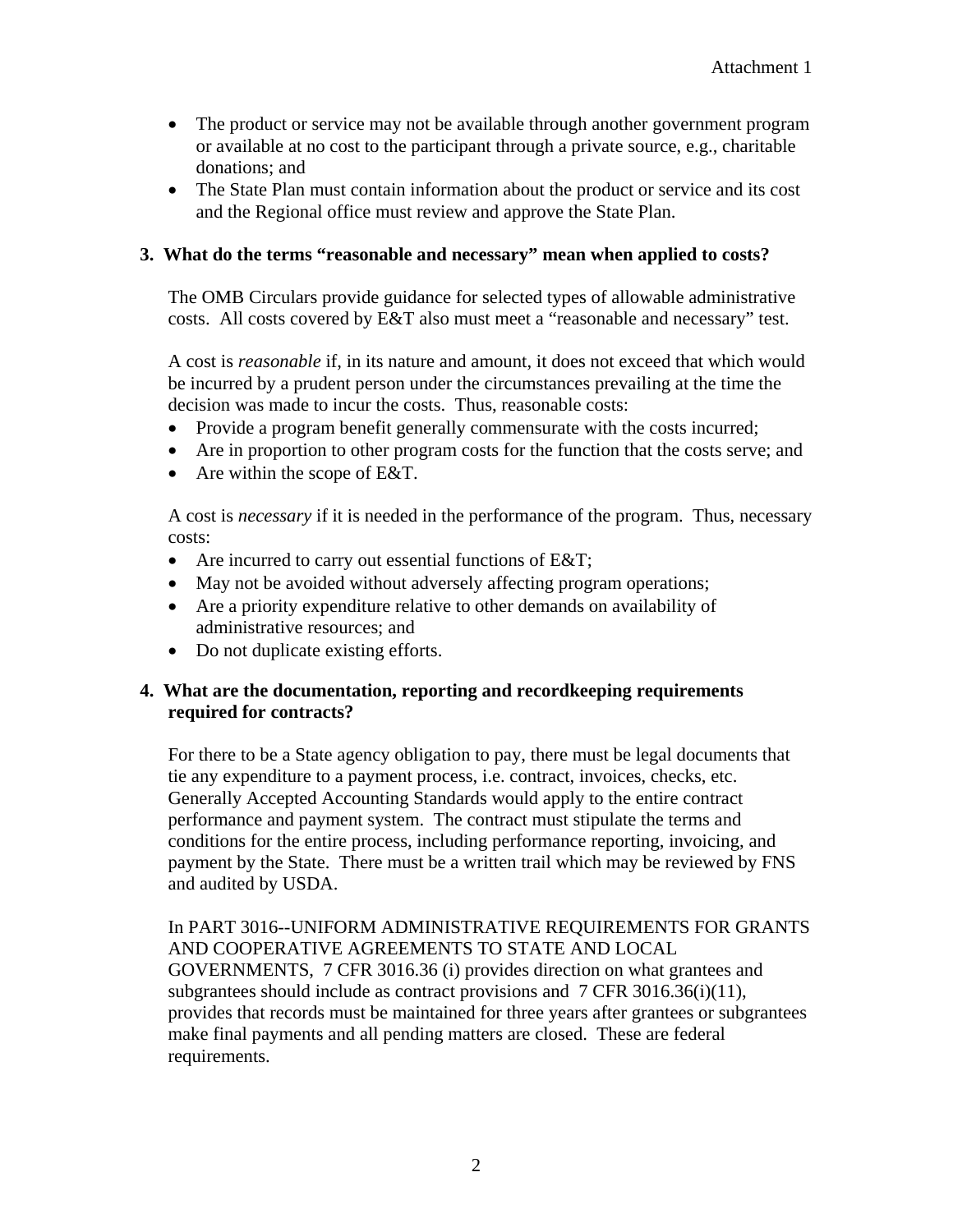- The product or service may not be available through another government program or available at no cost to the participant through a private source, e.g., charitable donations; and
- The State Plan must contain information about the product or service and its cost and the Regional office must review and approve the State Plan.

#### **3. What do the terms "reasonable and necessary" mean when applied to costs?**

The OMB Circulars provide guidance for selected types of allowable administrative costs. All costs covered by E&T also must meet a "reasonable and necessary" test.

A cost is *reasonable* if, in its nature and amount, it does not exceed that which would be incurred by a prudent person under the circumstances prevailing at the time the decision was made to incur the costs. Thus, reasonable costs:

- Provide a program benefit generally commensurate with the costs incurred;
- Are in proportion to other program costs for the function that the costs serve; and
- Are within the scope of E&T.

A cost is *necessary* if it is needed in the performance of the program. Thus, necessary costs:

- Are incurred to carry out essential functions of E&T;
- May not be avoided without adversely affecting program operations;
- Are a priority expenditure relative to other demands on availability of administrative resources; and
- Do not duplicate existing efforts.

#### **4. What are the documentation, reporting and recordkeeping requirements required for contracts?**

For there to be a State agency obligation to pay, there must be legal documents that tie any expenditure to a payment process, i.e. contract, invoices, checks, etc. Generally Accepted Accounting Standards would apply to the entire contract performance and payment system. The contract must stipulate the terms and conditions for the entire process, including performance reporting, invoicing, and payment by the State. There must be a written trail which may be reviewed by FNS and audited by USDA.

In PART 3016--UNIFORM ADMINISTRATIVE REQUIREMENTS FOR GRANTS AND COOPERATIVE AGREEMENTS TO STATE AND LOCAL GOVERNMENTS, 7 CFR 3016.36 (i) provides direction on what grantees and subgrantees should include as contract provisions and 7 CFR 3016.36(i)(11), provides that records must be maintained for three years after grantees or subgrantees make final payments and all pending matters are closed. These are federal requirements.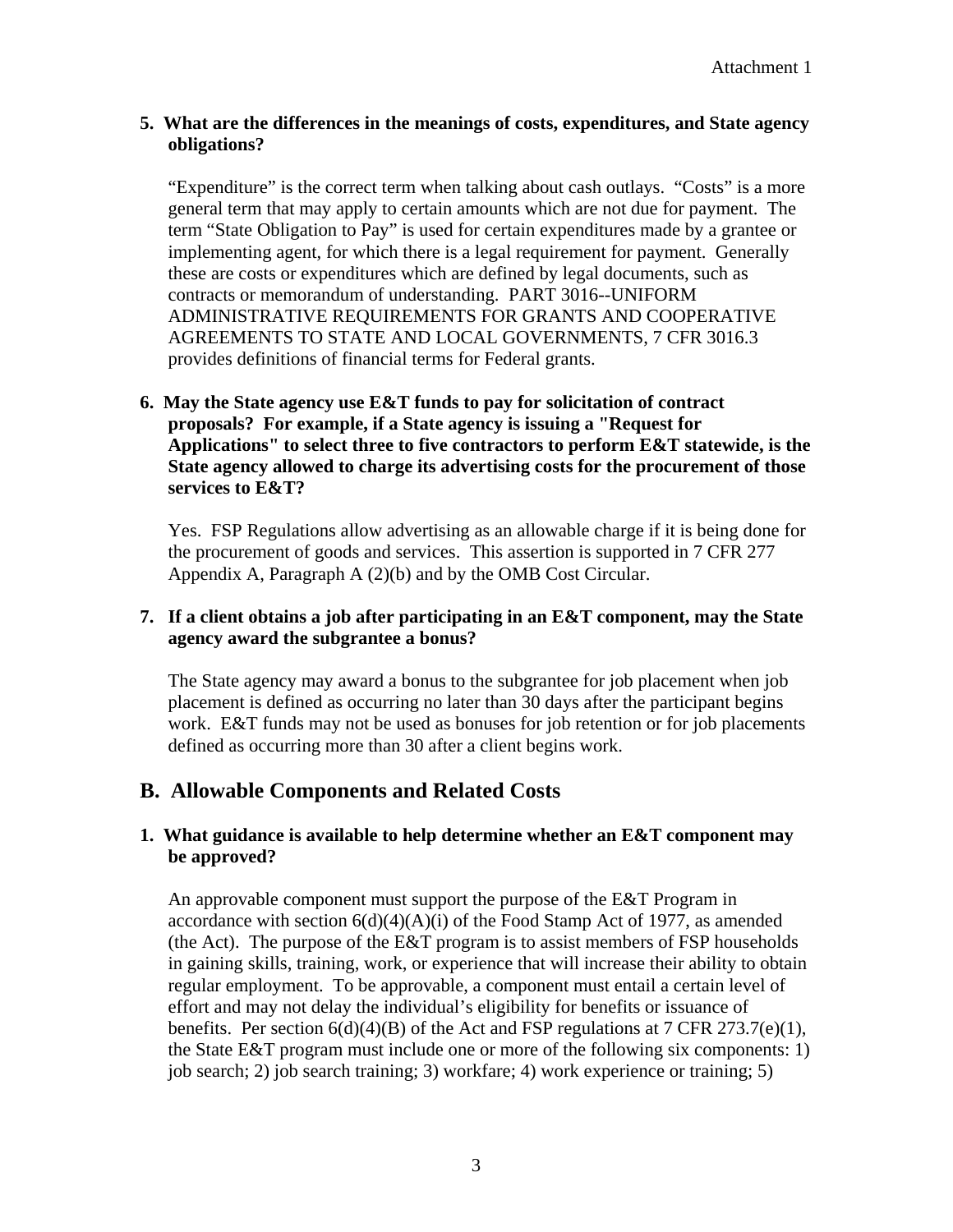## **5. What are the differences in the meanings of costs, expenditures, and State agency obligations?**

"Expenditure" is the correct term when talking about cash outlays. "Costs" is a more general term that may apply to certain amounts which are not due for payment. The term "State Obligation to Pay" is used for certain expenditures made by a grantee or implementing agent, for which there is a legal requirement for payment. Generally these are costs or expenditures which are defined by legal documents, such as contracts or memorandum of understanding. PART 3016--UNIFORM ADMINISTRATIVE REQUIREMENTS FOR GRANTS AND COOPERATIVE AGREEMENTS TO STATE AND LOCAL GOVERNMENTS, 7 CFR 3016.3 provides definitions of financial terms for Federal grants.

## **6. May the State agency use E&T funds to pay for solicitation of contract proposals? For example, if a State agency is issuing a "Request for Applications" to select three to five contractors to perform E&T statewide, is the State agency allowed to charge its advertising costs for the procurement of those services to E&T?**

Yes.FSP Regulations allow advertising as an allowable charge if it is being done for the procurement of goods and services. This assertion is supported in 7 CFR 277 Appendix A, Paragraph A (2)(b) and by the OMB Cost Circular.

## **7. If a client obtains a job after participating in an E&T component, may the State agency award the subgrantee a bonus?**

The State agency may award a bonus to the subgrantee for job placement when job placement is defined as occurring no later than 30 days after the participant begins work. E&T funds may not be used as bonuses for job retention or for job placements defined as occurring more than 30 after a client begins work.

## **B. Allowable Components and Related Costs**

## **1. What guidance is available to help determine whether an E&T component may be approved?**

An approvable component must support the purpose of the E&T Program in accordance with section  $6(d)(4)(A)(i)$  of the Food Stamp Act of 1977, as amended (the Act). The purpose of the E&T program is to assist members of FSP households in gaining skills, training, work, or experience that will increase their ability to obtain regular employment.To be approvable, a component must entail a certain level of effort and may not delay the individual's eligibility for benefits or issuance of benefits. Per section  $6(d)(4)(B)$  of the Act and FSP regulations at 7 CFR 273.7(e)(1), the State E&T program must include one or more of the following six components: 1) job search; 2) job search training; 3) workfare; 4) work experience or training; 5)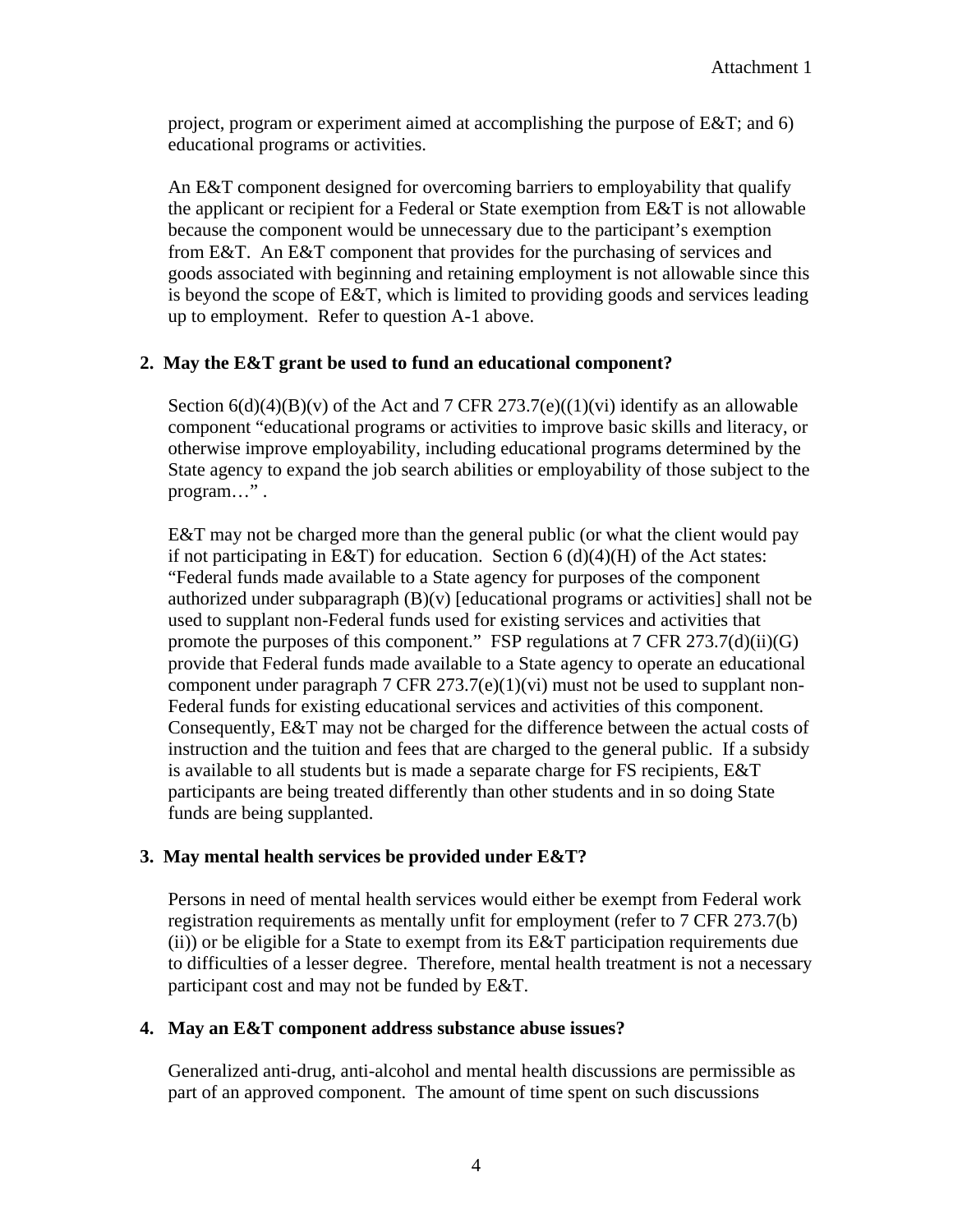project, program or experiment aimed at accomplishing the purpose of E&T; and 6) educational programs or activities.

An E&T component designed for overcoming barriers to employability that qualify the applicant or recipient for a Federal or State exemption from E&T is not allowable because the component would be unnecessary due to the participant's exemption from E&T. An E&T component that provides for the purchasing of services and goods associated with beginning and retaining employment is not allowable since this is beyond the scope of E&T, which is limited to providing goods and services leading up to employment. Refer to question A-1 above.

#### **2. May the E&T grant be used to fund an educational component?**

Section  $6(d)(4)(B)(v)$  of the Act and 7 CFR 273.7(e)((1)(vi) identify as an allowable component "educational programs or activities to improve basic skills and literacy, or otherwise improve employability, including educational programs determined by the State agency to expand the job search abilities or employability of those subject to the program…" .

E&T may not be charged more than the general public (or what the client would pay if not participating in E&T) for education. Section  $6(d)(4)(H)$  of the Act states: "Federal funds made available to a State agency for purposes of the component authorized under subparagraph  $(B)(v)$  [educational programs or activities] shall not be used to supplant non-Federal funds used for existing services and activities that promote the purposes of this component." FSP regulations at 7 CFR 273.7(d)(ii)(G) provide that Federal funds made available to a State agency to operate an educational component under paragraph 7 CFR  $273.7(e)(1)(vi)$  must not be used to supplant non-Federal funds for existing educational services and activities of this component. Consequently, E&T may not be charged for the difference between the actual costs of instruction and the tuition and fees that are charged to the general public. If a subsidy is available to all students but is made a separate charge for FS recipients, E&T participants are being treated differently than other students and in so doing State funds are being supplanted.

## **3. May mental health services be provided under E&T?**

Persons in need of mental health services would either be exempt from Federal work registration requirements as mentally unfit for employment (refer to 7 CFR 273.7(b) (ii)) or be eligible for a State to exempt from its E&T participation requirements due to difficulties of a lesser degree. Therefore, mental health treatment is not a necessary participant cost and may not be funded by E&T.

#### **4. May an E&T component address substance abuse issues?**

Generalized anti-drug, anti-alcohol and mental health discussions are permissible as part of an approved component. The amount of time spent on such discussions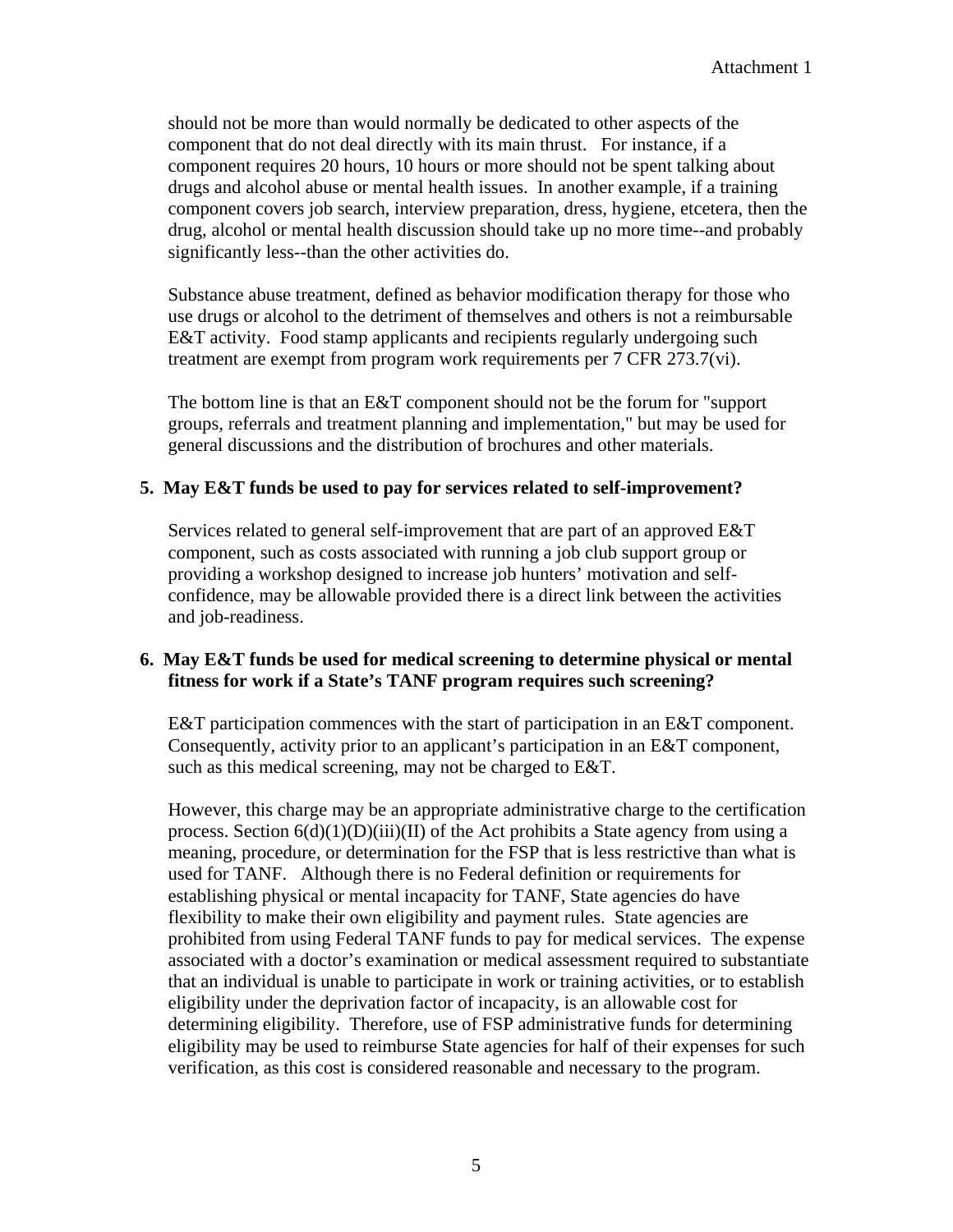should not be more than would normally be dedicated to other aspects of the component that do not deal directly with its main thrust. For instance, if a component requires 20 hours, 10 hours or more should not be spent talking about drugs and alcohol abuse or mental health issues. In another example, if a training component covers job search, interview preparation, dress, hygiene, etcetera, then the drug, alcohol or mental health discussion should take up no more time--and probably significantly less--than the other activities do.

Substance abuse treatment, defined as behavior modification therapy for those who use drugs or alcohol to the detriment of themselves and others is not a reimbursable E&T activity. Food stamp applicants and recipients regularly undergoing such treatment are exempt from program work requirements per 7 CFR 273.7(vi).

The bottom line is that an E&T component should not be the forum for "support groups, referrals and treatment planning and implementation," but may be used for general discussions and the distribution of brochures and other materials.

#### **5. May E&T funds be used to pay for services related to self-improvement?**

Services related to general self-improvement that are part of an approved E&T component, such as costs associated with running a job club support group or providing a workshop designed to increase job hunters' motivation and selfconfidence, may be allowable provided there is a direct link between the activities and job-readiness.

#### **6. May E&T funds be used for medical screening to determine physical or mental fitness for work if a State's TANF program requires such screening?**

E&T participation commences with the start of participation in an E&T component. Consequently, activity prior to an applicant's participation in an E&T component, such as this medical screening, may not be charged to E&T.

However, this charge may be an appropriate administrative charge to the certification process. Section  $6(d)(1)(D)(iii)(II)$  of the Act prohibits a State agency from using a meaning, procedure, or determination for the FSP that is less restrictive than what is used for TANF. Although there is no Federal definition or requirements for establishing physical or mental incapacity for TANF, State agencies do have flexibility to make their own eligibility and payment rules. State agencies are prohibited from using Federal TANF funds to pay for medical services. The expense associated with a doctor's examination or medical assessment required to substantiate that an individual is unable to participate in work or training activities, or to establish eligibility under the deprivation factor of incapacity, is an allowable cost for determining eligibility. Therefore, use of FSP administrative funds for determining eligibility may be used to reimburse State agencies for half of their expenses for such verification, as this cost is considered reasonable and necessary to the program.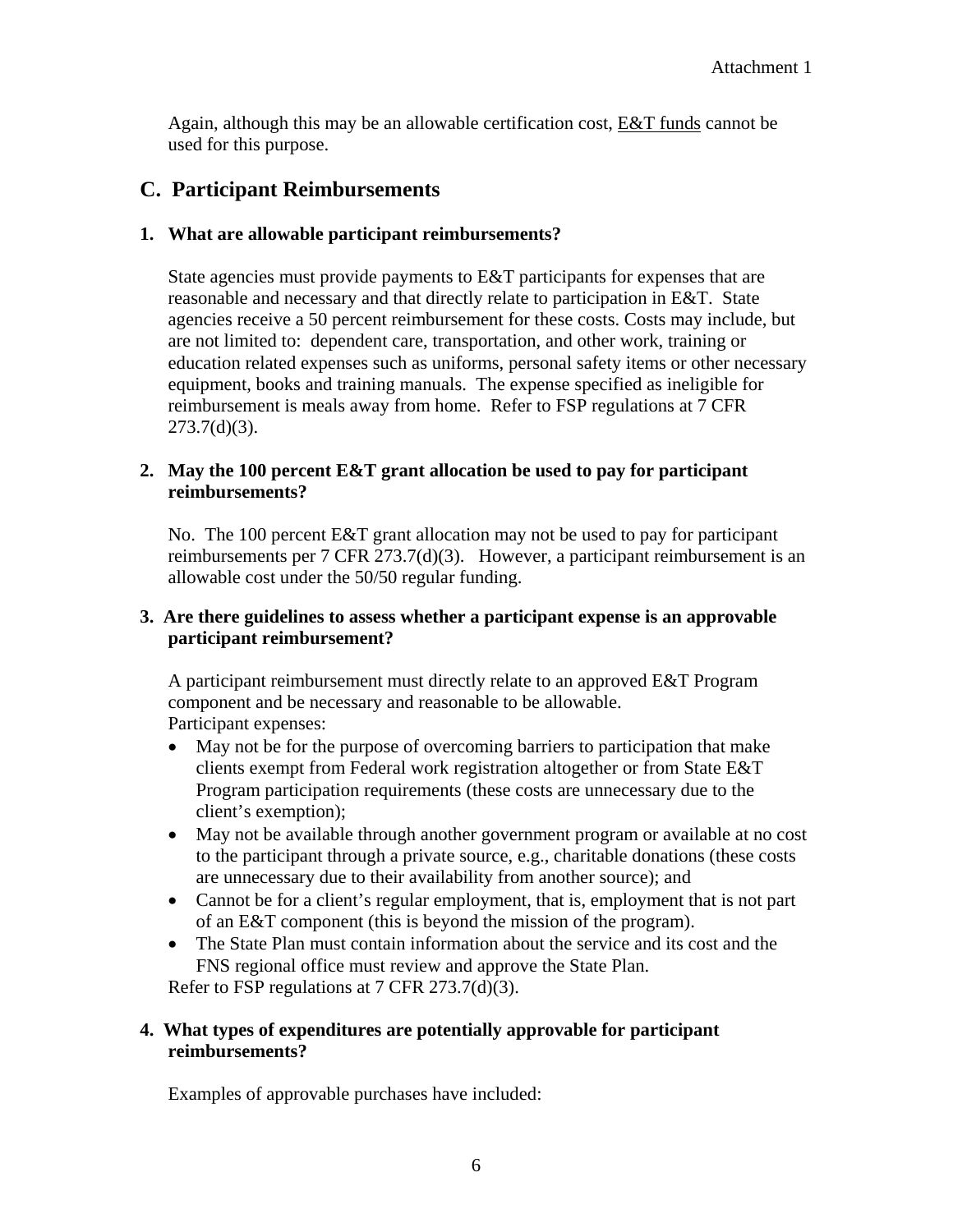Again, although this may be an allowable certification cost, E&T funds cannot be used for this purpose.

## **C. Participant Reimbursements**

## **1. What are allowable participant reimbursements?**

State agencies must provide payments to E&T participants for expenses that are reasonable and necessary and that directly relate to participation in E&T. State agencies receive a 50 percent reimbursement for these costs. Costs may include, but are not limited to: dependent care, transportation, and other work, training or education related expenses such as uniforms, personal safety items or other necessary equipment, books and training manuals. The expense specified as ineligible for reimbursement is meals away from home. Refer to FSP regulations at 7 CFR 273.7(d)(3).

## **2. May the 100 percent E&T grant allocation be used to pay for participant reimbursements?**

No. The 100 percent E&T grant allocation may not be used to pay for participant reimbursements per 7 CFR 273.7(d)(3). However, a participant reimbursement is an allowable cost under the 50/50 regular funding.

#### **3. Are there guidelines to assess whether a participant expense is an approvable participant reimbursement?**

A participant reimbursement must directly relate to an approved E&T Program component and be necessary and reasonable to be allowable. Participant expenses:

- May not be for the purpose of overcoming barriers to participation that make clients exempt from Federal work registration altogether or from State E&T Program participation requirements (these costs are unnecessary due to the client's exemption);
- May not be available through another government program or available at no cost to the participant through a private source, e.g., charitable donations (these costs are unnecessary due to their availability from another source); and
- Cannot be for a client's regular employment, that is, employment that is not part of an E&T component (this is beyond the mission of the program).
- The State Plan must contain information about the service and its cost and the FNS regional office must review and approve the State Plan. Refer to FSP regulations at 7 CFR 273.7(d)(3).

## **4. What types of expenditures are potentially approvable for participant reimbursements?**

Examples of approvable purchases have included: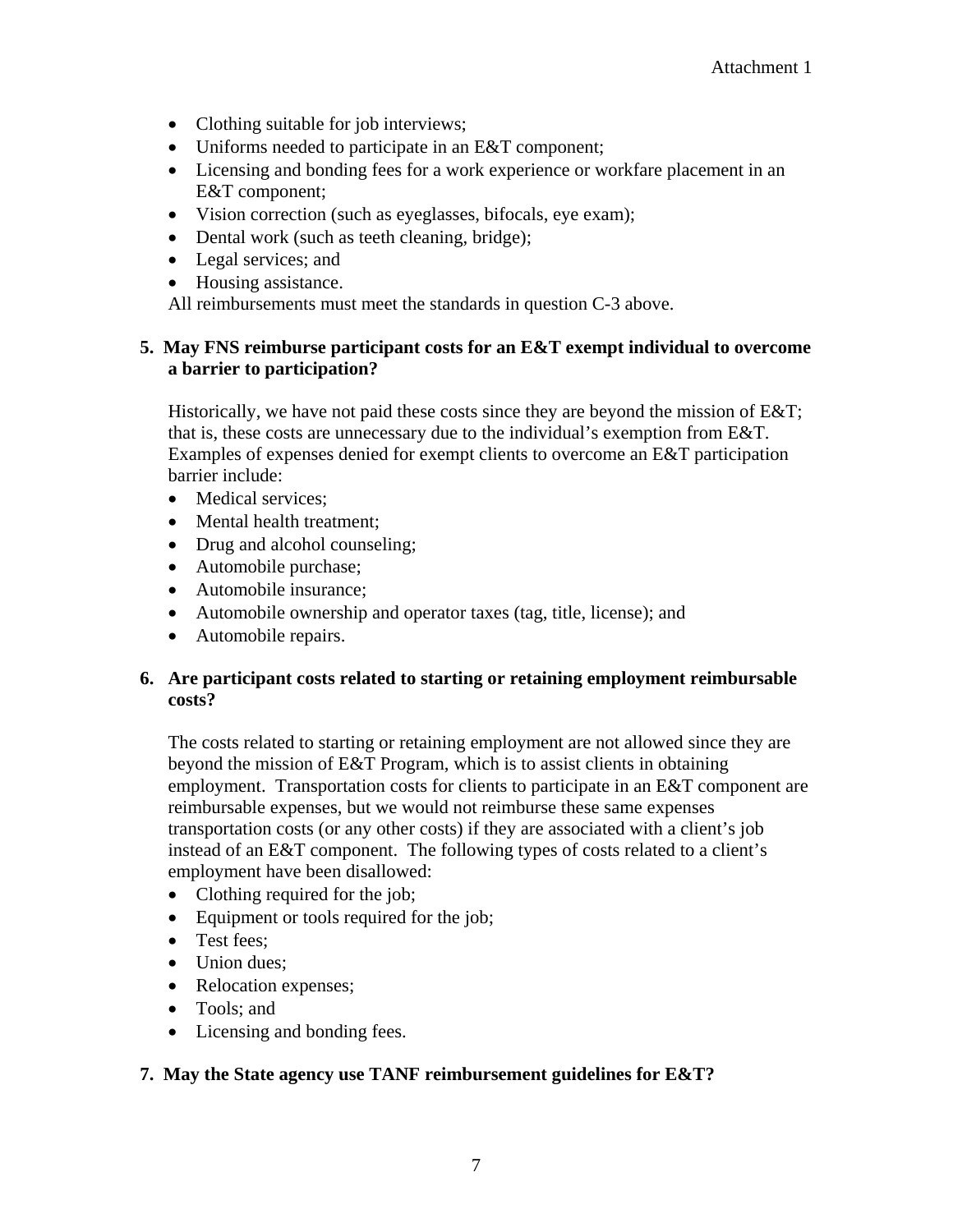- Clothing suitable for job interviews;
- Uniforms needed to participate in an E&T component;
- Licensing and bonding fees for a work experience or workfare placement in an E&T component;
- Vision correction (such as eyeglasses, bifocals, eye exam);
- Dental work (such as teeth cleaning, bridge);
- Legal services; and
- Housing assistance.

All reimbursements must meet the standards in question C-3 above.

#### **5. May FNS reimburse participant costs for an E&T exempt individual to overcome a barrier to participation?**

Historically, we have not paid these costs since they are beyond the mission of E&T; that is, these costs are unnecessary due to the individual's exemption from E&T. Examples of expenses denied for exempt clients to overcome an E&T participation barrier include:

- Medical services:
- Mental health treatment;
- Drug and alcohol counseling;
- Automobile purchase;
- Automobile insurance:
- Automobile ownership and operator taxes (tag, title, license); and
- Automobile repairs.

#### **6. Are participant costs related to starting or retaining employment reimbursable costs?**

The costs related to starting or retaining employment are not allowed since they are beyond the mission of E&T Program, which is to assist clients in obtaining employment. Transportation costs for clients to participate in an E&T component are reimbursable expenses, but we would not reimburse these same expenses transportation costs (or any other costs) if they are associated with a client's job instead of an E&T component. The following types of costs related to a client's employment have been disallowed:

- Clothing required for the job;
- Equipment or tools required for the job;
- Test fees:
- Union dues:
- Relocation expenses;
- Tools; and
- Licensing and bonding fees.

#### **7. May the State agency use TANF reimbursement guidelines for E&T?**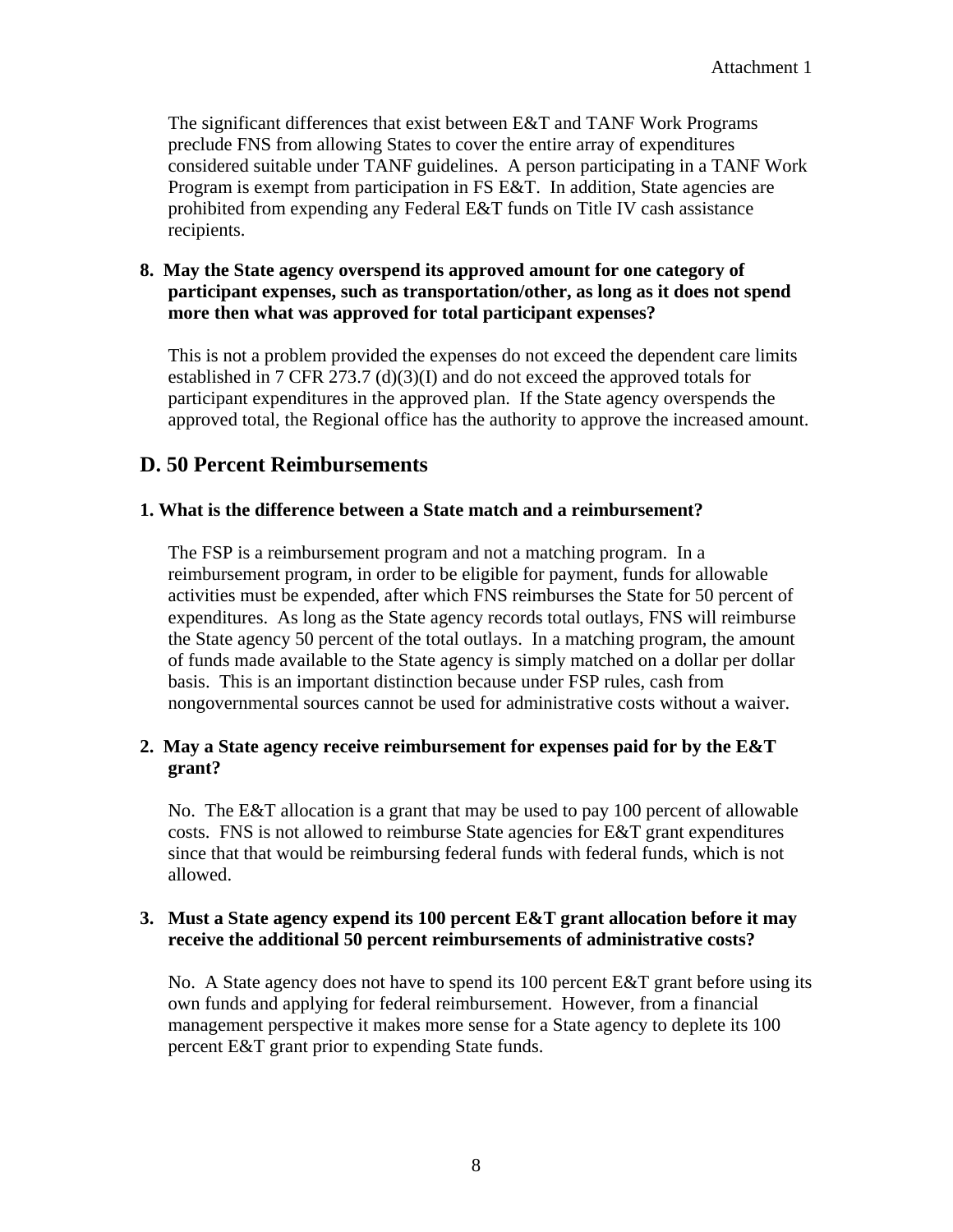The significant differences that exist between E&T and TANF Work Programs preclude FNS from allowing States to cover the entire array of expenditures considered suitable under TANF guidelines. A person participating in a TANF Work Program is exempt from participation in FS E&T. In addition, State agencies are prohibited from expending any Federal E&T funds on Title IV cash assistance recipients.

#### **8. May the State agency overspend its approved amount for one category of participant expenses, such as transportation/other, as long as it does not spend more then what was approved for total participant expenses?**

This is not a problem provided the expenses do not exceed the dependent care limits established in 7 CFR 273.7 (d)(3)(I) and do not exceed the approved totals for participant expenditures in the approved plan. If the State agency overspends the approved total, the Regional office has the authority to approve the increased amount.

## **D. 50 Percent Reimbursements**

#### **1. What is the difference between a State match and a reimbursement?**

The FSP is a reimbursement program and not a matching program. In a reimbursement program, in order to be eligible for payment, funds for allowable activities must be expended, after which FNS reimburses the State for 50 percent of expenditures. As long as the State agency records total outlays, FNS will reimburse the State agency 50 percent of the total outlays. In a matching program, the amount of funds made available to the State agency is simply matched on a dollar per dollar basis. This is an important distinction because under FSP rules, cash from nongovernmental sources cannot be used for administrative costs without a waiver.

#### **2. May a State agency receive reimbursement for expenses paid for by the E&T grant?**

No. The E&T allocation is a grant that may be used to pay 100 percent of allowable costs. FNS is not allowed to reimburse State agencies for E&T grant expenditures since that that would be reimbursing federal funds with federal funds, which is not allowed.

#### **3. Must a State agency expend its 100 percent E&T grant allocation before it may receive the additional 50 percent reimbursements of administrative costs?**

No. A State agency does not have to spend its 100 percent E&T grant before using its own funds and applying for federal reimbursement. However, from a financial management perspective it makes more sense for a State agency to deplete its 100 percent E&T grant prior to expending State funds.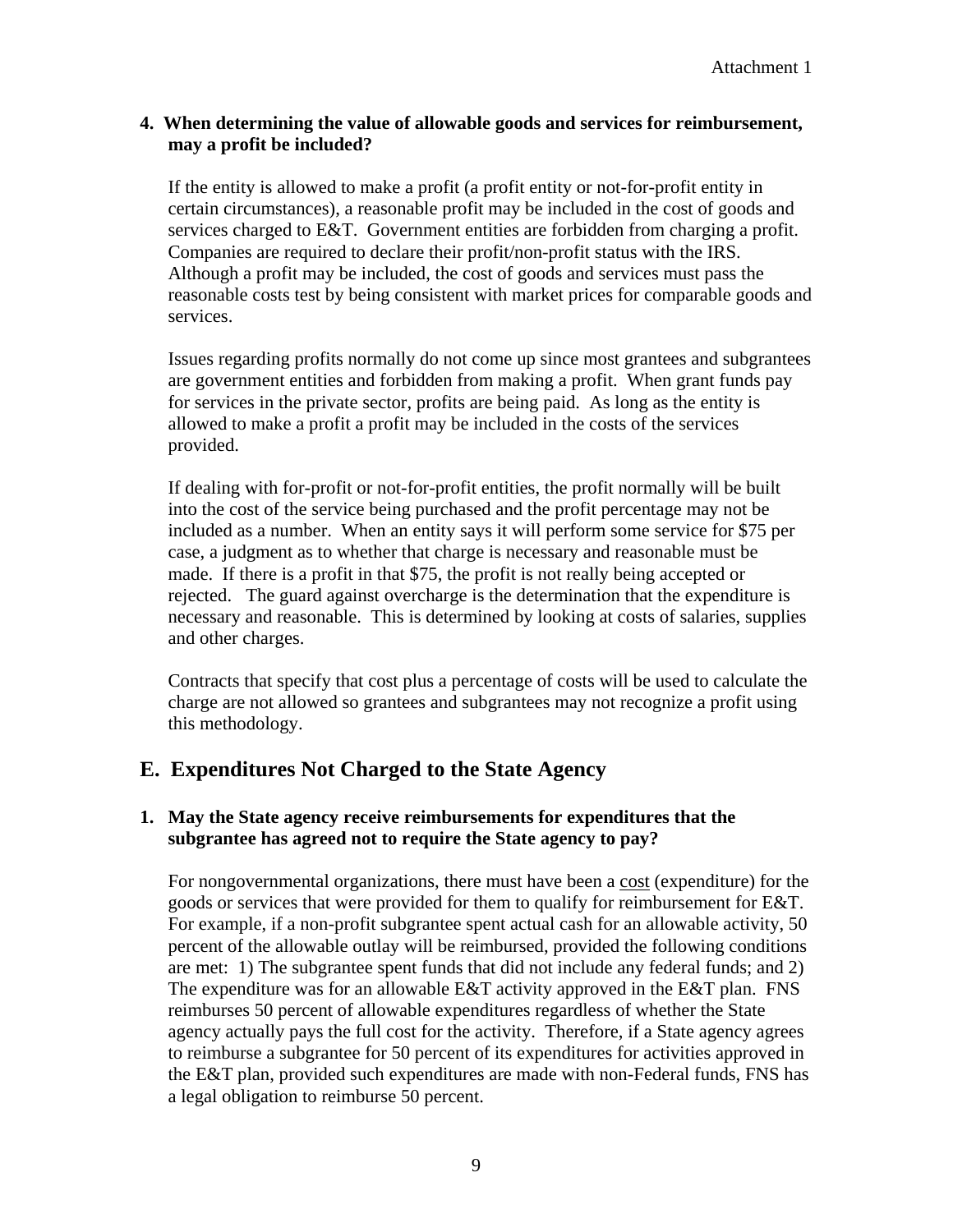#### **4. When determining the value of allowable goods and services for reimbursement, may a profit be included?**

If the entity is allowed to make a profit (a profit entity or not-for-profit entity in certain circumstances), a reasonable profit may be included in the cost of goods and services charged to E&T. Government entities are forbidden from charging a profit. Companies are required to declare their profit/non-profit status with the IRS. Although a profit may be included, the cost of goods and services must pass the reasonable costs test by being consistent with market prices for comparable goods and services.

Issues regarding profits normally do not come up since most grantees and subgrantees are government entities and forbidden from making a profit. When grant funds pay for services in the private sector, profits are being paid. As long as the entity is allowed to make a profit a profit may be included in the costs of the services provided.

If dealing with for-profit or not-for-profit entities, the profit normally will be built into the cost of the service being purchased and the profit percentage may not be included as a number. When an entity says it will perform some service for \$75 per case, a judgment as to whether that charge is necessary and reasonable must be made. If there is a profit in that \$75, the profit is not really being accepted or rejected. The guard against overcharge is the determination that the expenditure is necessary and reasonable. This is determined by looking at costs of salaries, supplies and other charges.

Contracts that specify that cost plus a percentage of costs will be used to calculate the charge are not allowed so grantees and subgrantees may not recognize a profit using this methodology.

## **E. Expenditures Not Charged to the State Agency**

## **1. May the State agency receive reimbursements for expenditures that the subgrantee has agreed not to require the State agency to pay?**

For nongovernmental organizations, there must have been a cost (expenditure) for the goods or services that were provided for them to qualify for reimbursement for E&T. For example, if a non-profit subgrantee spent actual cash for an allowable activity, 50 percent of the allowable outlay will be reimbursed, provided the following conditions are met: 1) The subgrantee spent funds that did not include any federal funds; and 2) The expenditure was for an allowable  $E&T$  activity approved in the  $E&T$  plan. FNS reimburses 50 percent of allowable expenditures regardless of whether the State agency actually pays the full cost for the activity. Therefore, if a State agency agrees to reimburse a subgrantee for 50 percent of its expenditures for activities approved in the E&T plan, provided such expenditures are made with non-Federal funds, FNS has a legal obligation to reimburse 50 percent.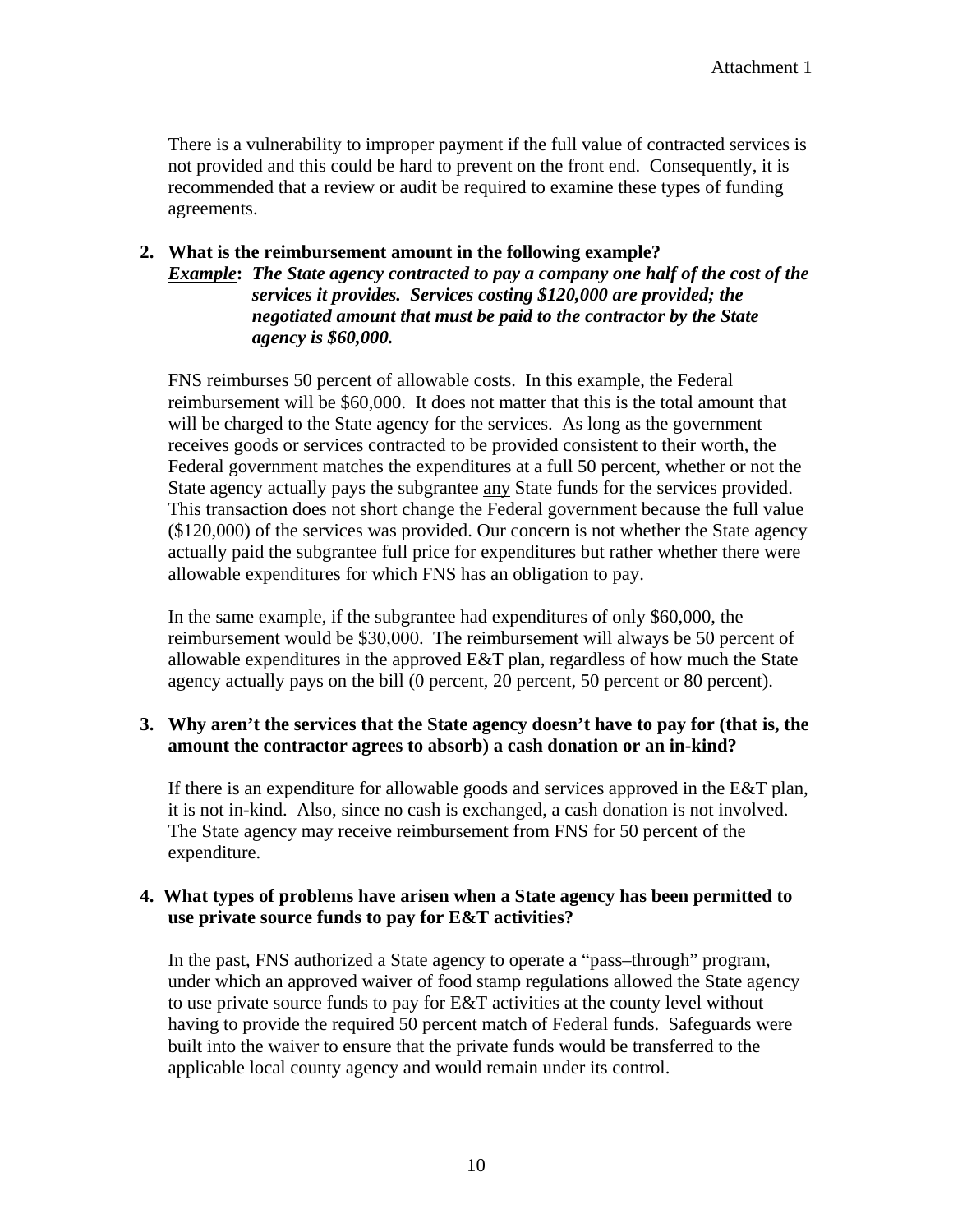There is a vulnerability to improper payment if the full value of contracted services is not provided and this could be hard to prevent on the front end. Consequently, it is recommended that a review or audit be required to examine these types of funding agreements.

## **2. What is the reimbursement amount in the following example?**

*Example***:** *The State agency contracted to pay a company one half of the cost of the services it provides. Services costing \$120,000 are provided; the negotiated amount that must be paid to the contractor by the State agency is \$60,000.*

FNS reimburses 50 percent of allowable costs. In this example, the Federal reimbursement will be \$60,000. It does not matter that this is the total amount that will be charged to the State agency for the services. As long as the government receives goods or services contracted to be provided consistent to their worth, the Federal government matches the expenditures at a full 50 percent, whether or not the State agency actually pays the subgrantee any State funds for the services provided. This transaction does not short change the Federal government because the full value (\$120,000) of the services was provided. Our concern is not whether the State agency actually paid the subgrantee full price for expenditures but rather whether there were allowable expenditures for which FNS has an obligation to pay.

In the same example, if the subgrantee had expenditures of only \$60,000, the reimbursement would be \$30,000. The reimbursement will always be 50 percent of allowable expenditures in the approved E&T plan, regardless of how much the State agency actually pays on the bill (0 percent, 20 percent, 50 percent or 80 percent).

#### **3. Why aren't the services that the State agency doesn't have to pay for (that is, the amount the contractor agrees to absorb) a cash donation or an in-kind?**

If there is an expenditure for allowable goods and services approved in the E&T plan, it is not in-kind. Also, since no cash is exchanged, a cash donation is not involved. The State agency may receive reimbursement from FNS for 50 percent of the expenditure.

#### **4. What types of problems have arisen when a State agency has been permitted to use private source funds to pay for E&T activities?**

In the past, FNS authorized a State agency to operate a "pass–through" program, under which an approved waiver of food stamp regulations allowed the State agency to use private source funds to pay for E&T activities at the county level without having to provide the required 50 percent match of Federal funds. Safeguards were built into the waiver to ensure that the private funds would be transferred to the applicable local county agency and would remain under its control.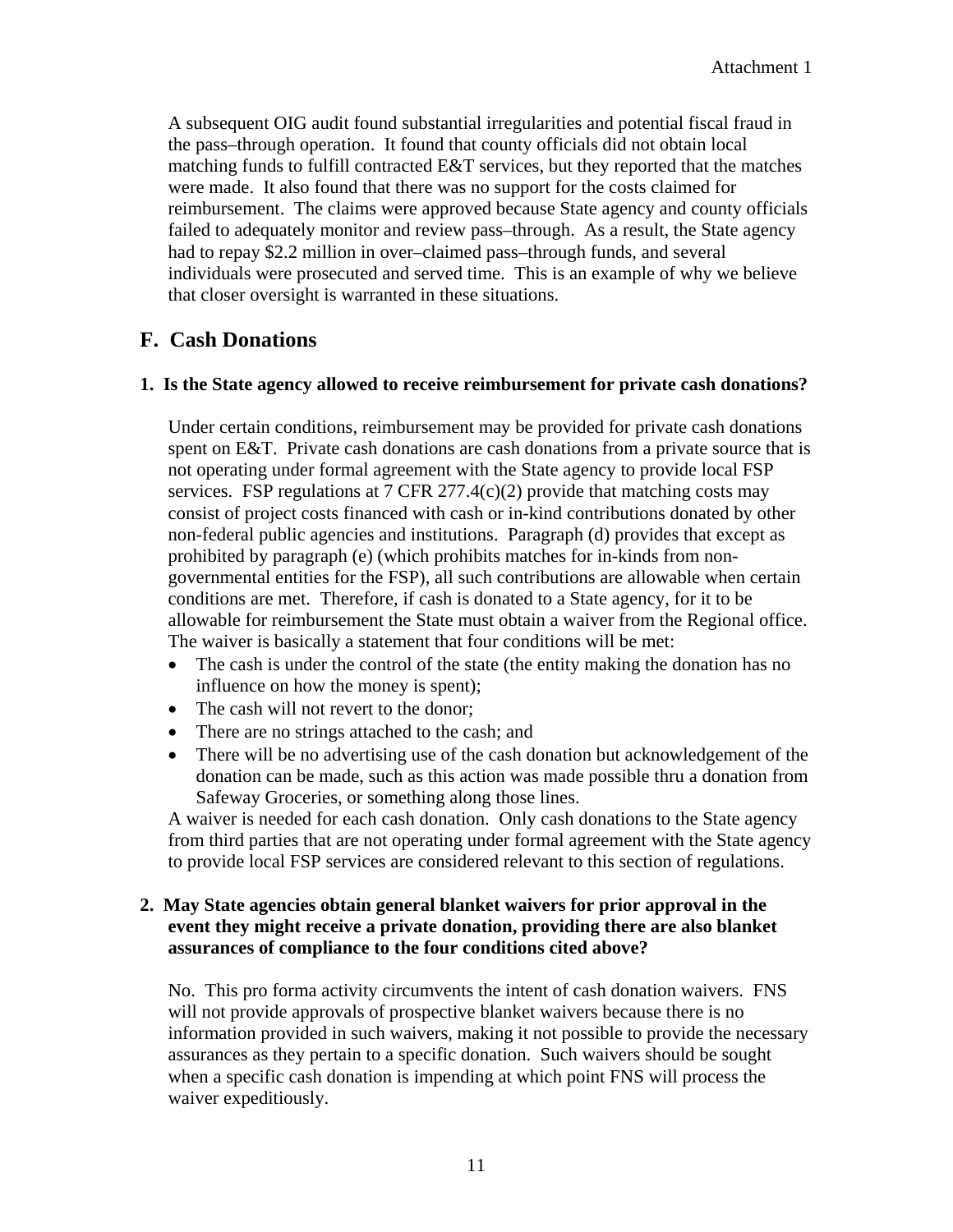A subsequent OIG audit found substantial irregularities and potential fiscal fraud in the pass–through operation. It found that county officials did not obtain local matching funds to fulfill contracted E&T services, but they reported that the matches were made. It also found that there was no support for the costs claimed for reimbursement. The claims were approved because State agency and county officials failed to adequately monitor and review pass–through. As a result, the State agency had to repay \$2.2 million in over–claimed pass–through funds, and several individuals were prosecuted and served time. This is an example of why we believe that closer oversight is warranted in these situations.

## **F. Cash Donations**

#### **1. Is the State agency allowed to receive reimbursement for private cash donations?**

Under certain conditions, reimbursement may be provided for private cash donations spent on E&T. Private cash donations are cash donations from a private source that is not operating under formal agreement with the State agency to provide local FSP services. FSP regulations at 7 CFR 277.4(c)(2) provide that matching costs may consist of project costs financed with cash or in-kind contributions donated by other non-federal public agencies and institutions. Paragraph (d) provides that except as prohibited by paragraph (e) (which prohibits matches for in-kinds from nongovernmental entities for the FSP), all such contributions are allowable when certain conditions are met. Therefore, if cash is donated to a State agency, for it to be allowable for reimbursement the State must obtain a waiver from the Regional office. The waiver is basically a statement that four conditions will be met:

- The cash is under the control of the state (the entity making the donation has no influence on how the money is spent);
- The cash will not revert to the donor;
- There are no strings attached to the cash; and
- There will be no advertising use of the cash donation but acknowledgement of the donation can be made, such as this action was made possible thru a donation from Safeway Groceries, or something along those lines.

A waiver is needed for each cash donation. Only cash donations to the State agency from third parties that are not operating under formal agreement with the State agency to provide local FSP services are considered relevant to this section of regulations.

#### **2. May State agencies obtain general blanket waivers for prior approval in the event they might receive a private donation, providing there are also blanket assurances of compliance to the four conditions cited above?**

No. This pro forma activity circumvents the intent of cash donation waivers. FNS will not provide approvals of prospective blanket waivers because there is no information provided in such waivers, making it not possible to provide the necessary assurances as they pertain to a specific donation. Such waivers should be sought when a specific cash donation is impending at which point FNS will process the waiver expeditiously.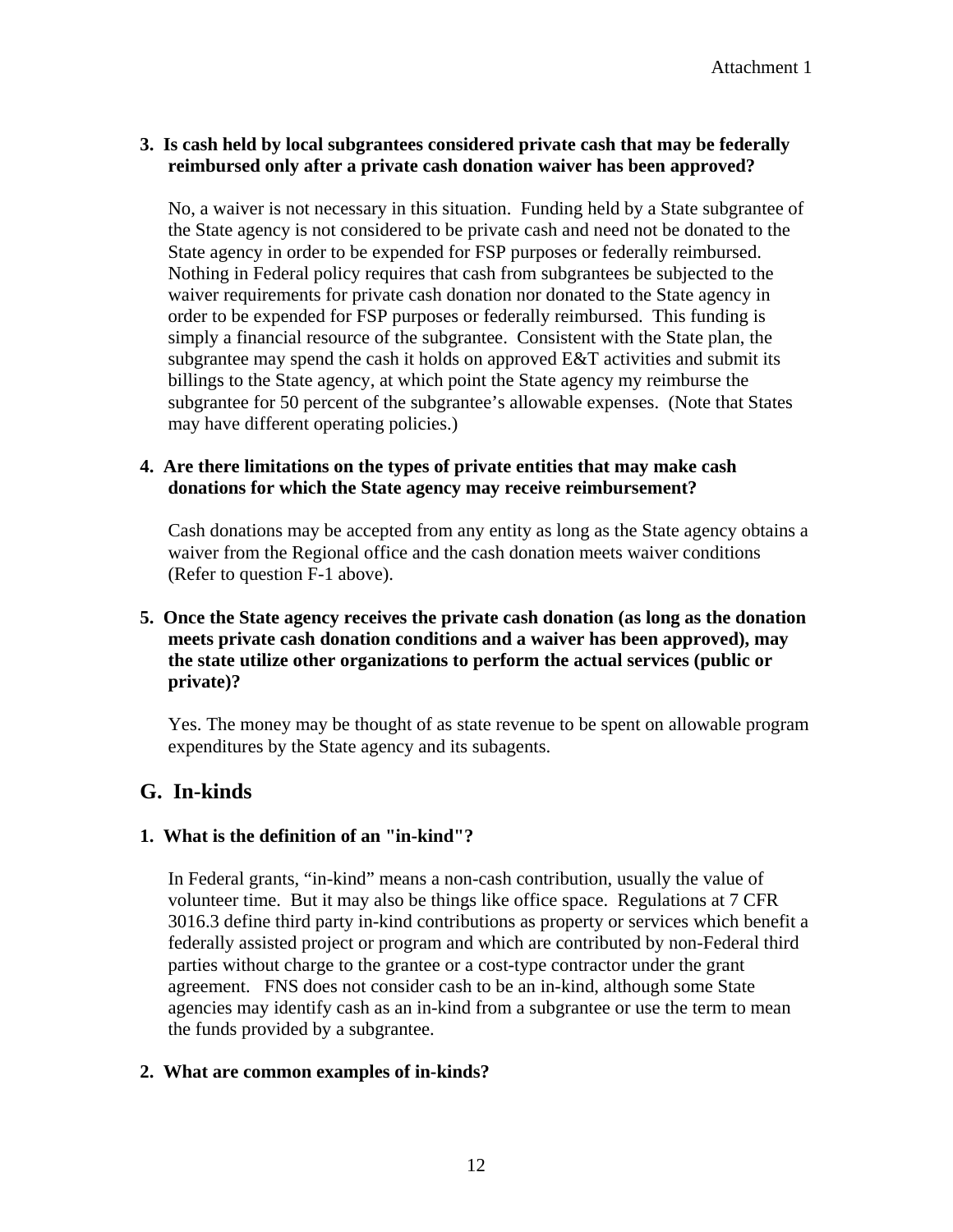## **3. Is cash held by local subgrantees considered private cash that may be federally reimbursed only after a private cash donation waiver has been approved?**

No, a waiver is not necessary in this situation. Funding held by a State subgrantee of the State agency is not considered to be private cash and need not be donated to the State agency in order to be expended for FSP purposes or federally reimbursed. Nothing in Federal policy requires that cash from subgrantees be subjected to the waiver requirements for private cash donation nor donated to the State agency in order to be expended for FSP purposes or federally reimbursed. This funding is simply a financial resource of the subgrantee. Consistent with the State plan, the subgrantee may spend the cash it holds on approved E&T activities and submit its billings to the State agency, at which point the State agency my reimburse the subgrantee for 50 percent of the subgrantee's allowable expenses. (Note that States may have different operating policies.)

#### **4. Are there limitations on the types of private entities that may make cash donations for which the State agency may receive reimbursement?**

Cash donations may be accepted from any entity as long as the State agency obtains a waiver from the Regional office and the cash donation meets waiver conditions (Refer to question F-1 above).

## **5. Once the State agency receives the private cash donation (as long as the donation meets private cash donation conditions and a waiver has been approved), may the state utilize other organizations to perform the actual services (public or private)?**

Yes. The money may be thought of as state revenue to be spent on allowable program expenditures by the State agency and its subagents.

## **G. In-kinds**

## **1. What is the definition of an "in-kind"?**

In Federal grants, "in-kind" means a non-cash contribution, usually the value of volunteer time. But it may also be things like office space. Regulations at 7 CFR 3016.3 define third party in-kind contributions as property or services which benefit a federally assisted project or program and which are contributed by non-Federal third parties without charge to the grantee or a cost-type contractor under the grant agreement. FNS does not consider cash to be an in-kind, although some State agencies may identify cash as an in-kind from a subgrantee or use the term to mean the funds provided by a subgrantee.

## **2. What are common examples of in-kinds?**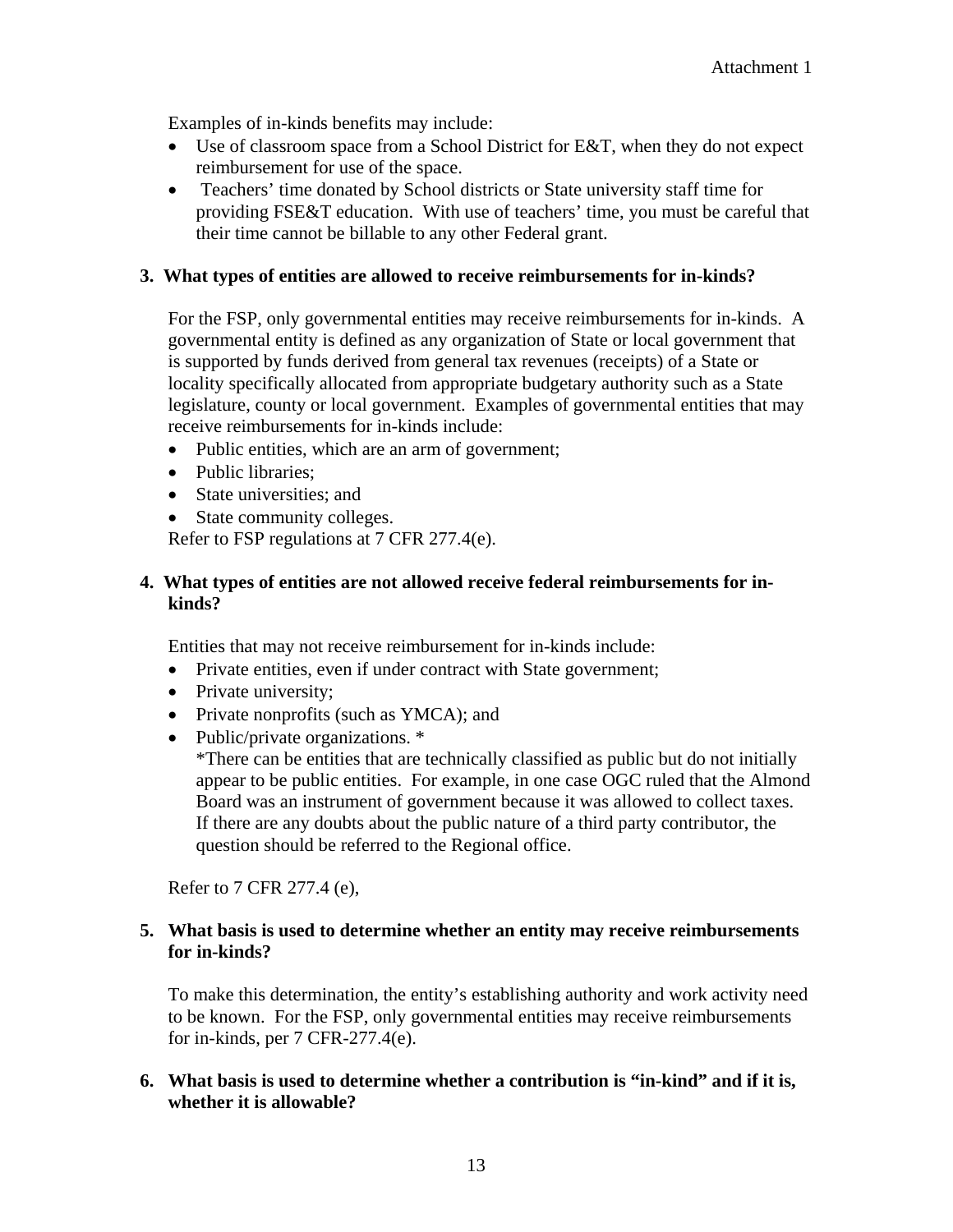Examples of in-kinds benefits may include:

- Use of classroom space from a School District for E&T, when they do not expect reimbursement for use of the space.
- Teachers' time donated by School districts or State university staff time for providing FSE&T education. With use of teachers' time, you must be careful that their time cannot be billable to any other Federal grant.

#### **3. What types of entities are allowed to receive reimbursements for in-kinds?**

For the FSP, only governmental entities may receive reimbursements for in-kinds. A governmental entity is defined as any organization of State or local government that is supported by funds derived from general tax revenues (receipts) of a State or locality specifically allocated from appropriate budgetary authority such as a State legislature, county or local government. Examples of governmental entities that may receive reimbursements for in-kinds include:

- Public entities, which are an arm of government;
- Public libraries:
- State universities: and
- State community colleges.

Refer to FSP regulations at 7 CFR 277.4(e).

#### **4. What types of entities are not allowed receive federal reimbursements for inkinds?**

Entities that may not receive reimbursement for in-kinds include:

- Private entities, even if under contract with State government;
- Private university;
- Private nonprofits (such as YMCA); and
- Public/private organizations. \*

\*There can be entities that are technically classified as public but do not initially appear to be public entities. For example, in one case OGC ruled that the Almond Board was an instrument of government because it was allowed to collect taxes. If there are any doubts about the public nature of a third party contributor, the question should be referred to the Regional office.

Refer to 7 CFR 277.4 (e),

#### **5. What basis is used to determine whether an entity may receive reimbursements for in-kinds?**

To make this determination, the entity's establishing authority and work activity need to be known. For the FSP, only governmental entities may receive reimbursements for in-kinds, per 7 CFR-277.4(e).

#### **6. What basis is used to determine whether a contribution is "in-kind" and if it is, whether it is allowable?**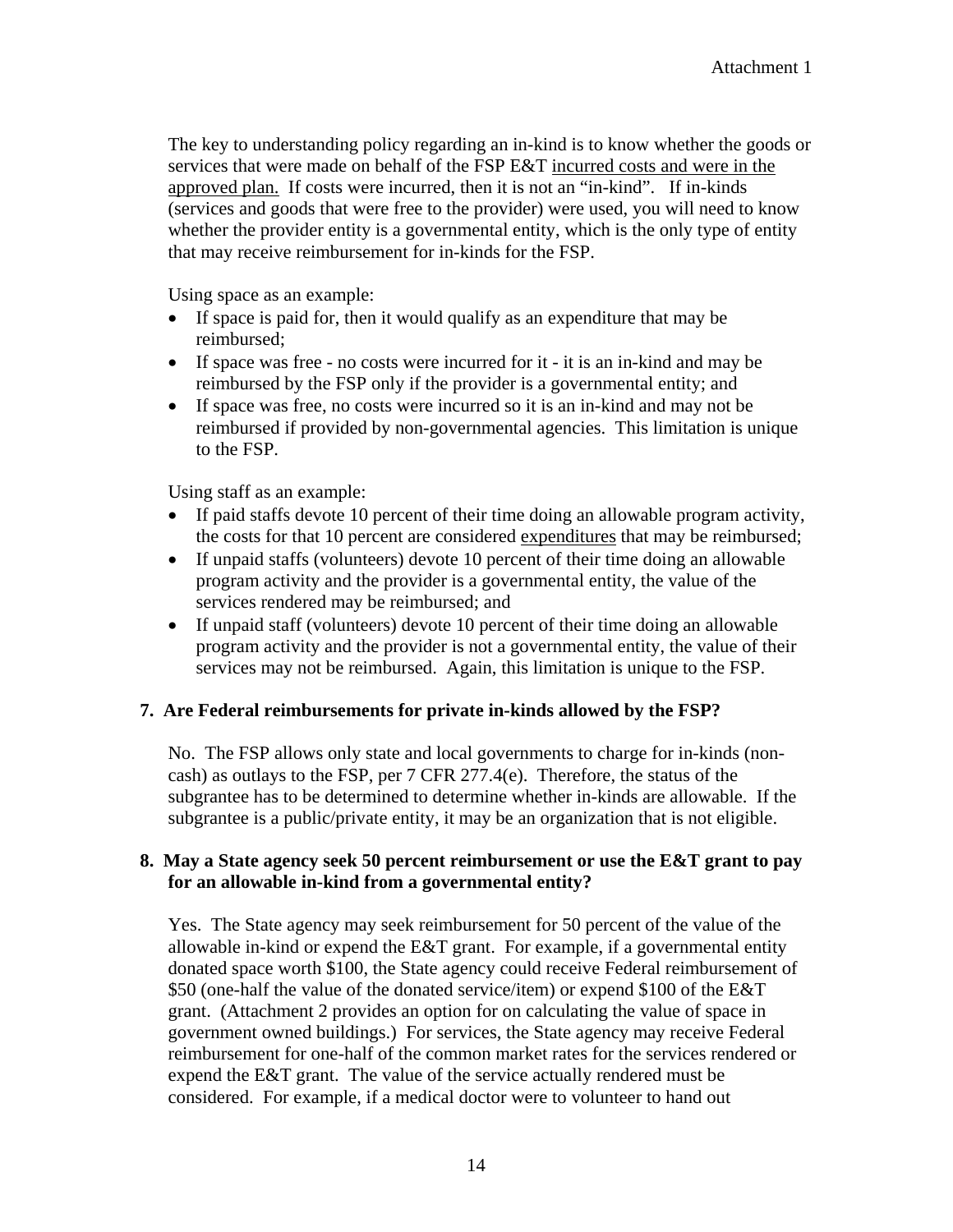The key to understanding policy regarding an in-kind is to know whether the goods or services that were made on behalf of the FSP E&T incurred costs and were in the approved plan. If costs were incurred, then it is not an "in-kind". If in-kinds (services and goods that were free to the provider) were used, you will need to know whether the provider entity is a governmental entity, which is the only type of entity that may receive reimbursement for in-kinds for the FSP.

Using space as an example:

- If space is paid for, then it would qualify as an expenditure that may be reimbursed;
- If space was free no costs were incurred for it it is an in-kind and may be reimbursed by the FSP only if the provider is a governmental entity; and
- If space was free, no costs were incurred so it is an in-kind and may not be reimbursed if provided by non-governmental agencies. This limitation is unique to the FSP.

Using staff as an example:

- If paid staffs devote 10 percent of their time doing an allowable program activity, the costs for that 10 percent are considered expenditures that may be reimbursed;
- If unpaid staffs (volunteers) devote 10 percent of their time doing an allowable program activity and the provider is a governmental entity, the value of the services rendered may be reimbursed; and
- If unpaid staff (volunteers) devote 10 percent of their time doing an allowable program activity and the provider is not a governmental entity, the value of their services may not be reimbursed. Again, this limitation is unique to the FSP.

#### **7. Are Federal reimbursements for private in-kinds allowed by the FSP?**

No. The FSP allows only state and local governments to charge for in-kinds (noncash) as outlays to the FSP, per 7 CFR 277.4(e). Therefore, the status of the subgrantee has to be determined to determine whether in-kinds are allowable. If the subgrantee is a public/private entity, it may be an organization that is not eligible.

#### **8. May a State agency seek 50 percent reimbursement or use the E&T grant to pay for an allowable in-kind from a governmental entity?**

Yes. The State agency may seek reimbursement for 50 percent of the value of the allowable in-kind or expend the E&T grant. For example, if a governmental entity donated space worth \$100, the State agency could receive Federal reimbursement of \$50 (one-half the value of the donated service/item) or expend \$100 of the E&T grant. (Attachment 2 provides an option for on calculating the value of space in government owned buildings.) For services, the State agency may receive Federal reimbursement for one-half of the common market rates for the services rendered or expend the E&T grant. The value of the service actually rendered must be considered. For example, if a medical doctor were to volunteer to hand out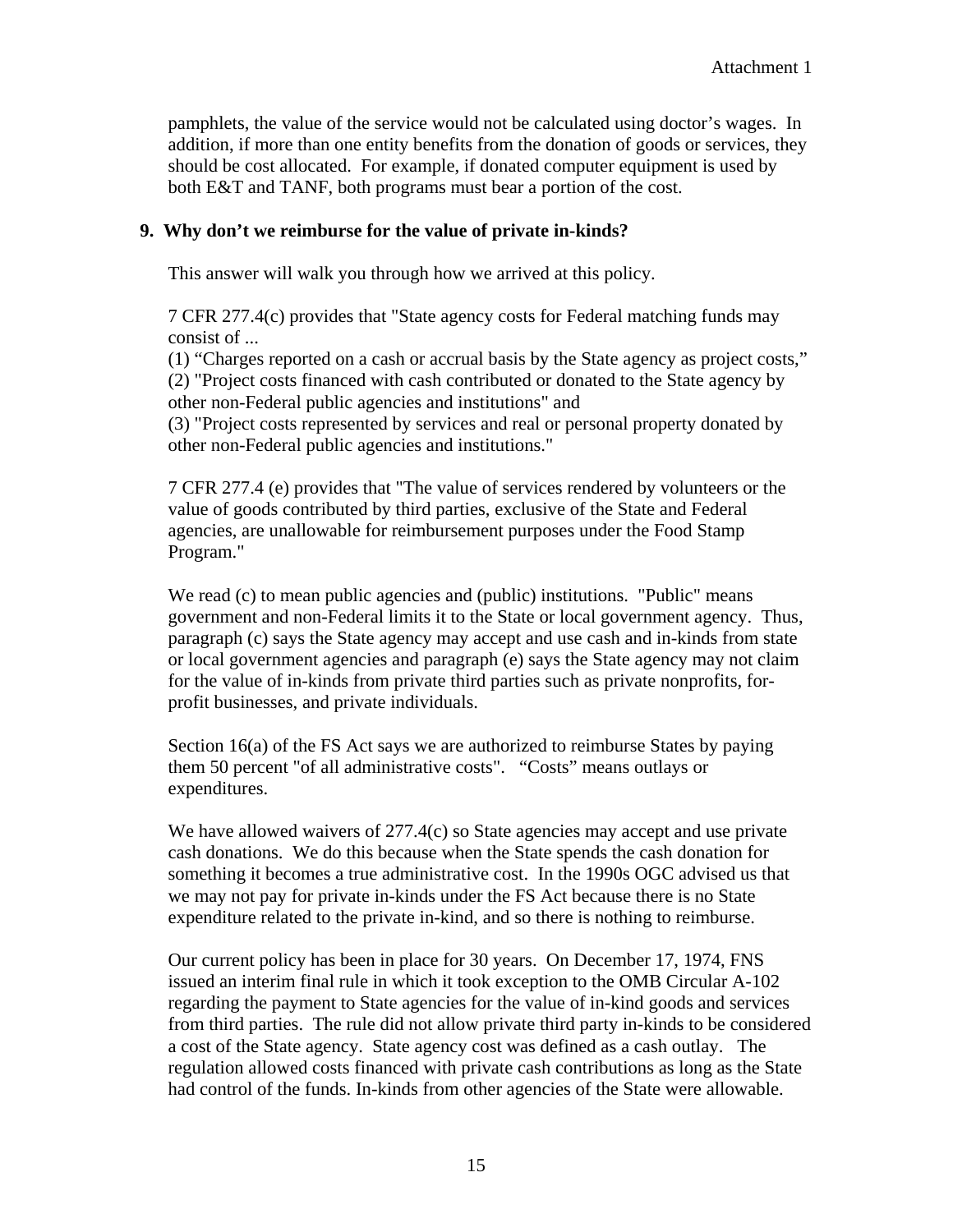pamphlets, the value of the service would not be calculated using doctor's wages. In addition, if more than one entity benefits from the donation of goods or services, they should be cost allocated. For example, if donated computer equipment is used by both E&T and TANF, both programs must bear a portion of the cost.

#### **9. Why don't we reimburse for the value of private in-kinds?**

This answer will walk you through how we arrived at this policy.

7 CFR 277.4(c) provides that "State agency costs for Federal matching funds may consist of ...

(1) "Charges reported on a cash or accrual basis by the State agency as project costs," (2) "Project costs financed with cash contributed or donated to the State agency by other non-Federal public agencies and institutions" and

(3) "Project costs represented by services and real or personal property donated by other non-Federal public agencies and institutions."

7 CFR 277.4 (e) provides that "The value of services rendered by volunteers or the value of goods contributed by third parties, exclusive of the State and Federal agencies, are unallowable for reimbursement purposes under the Food Stamp Program."

We read (c) to mean public agencies and (public) institutions. "Public" means government and non-Federal limits it to the State or local government agency. Thus, paragraph (c) says the State agency may accept and use cash and in-kinds from state or local government agencies and paragraph (e) says the State agency may not claim for the value of in-kinds from private third parties such as private nonprofits, forprofit businesses, and private individuals.

Section 16(a) of the FS Act says we are authorized to reimburse States by paying them 50 percent "of all administrative costs". "Costs" means outlays or expenditures.

We have allowed waivers of 277.4(c) so State agencies may accept and use private cash donations. We do this because when the State spends the cash donation for something it becomes a true administrative cost. In the 1990s OGC advised us that we may not pay for private in-kinds under the FS Act because there is no State expenditure related to the private in-kind, and so there is nothing to reimburse.

Our current policy has been in place for 30 years. On December 17, 1974, FNS issued an interim final rule in which it took exception to the OMB Circular A-102 regarding the payment to State agencies for the value of in-kind goods and services from third parties. The rule did not allow private third party in-kinds to be considered a cost of the State agency. State agency cost was defined as a cash outlay. The regulation allowed costs financed with private cash contributions as long as the State had control of the funds. In-kinds from other agencies of the State were allowable.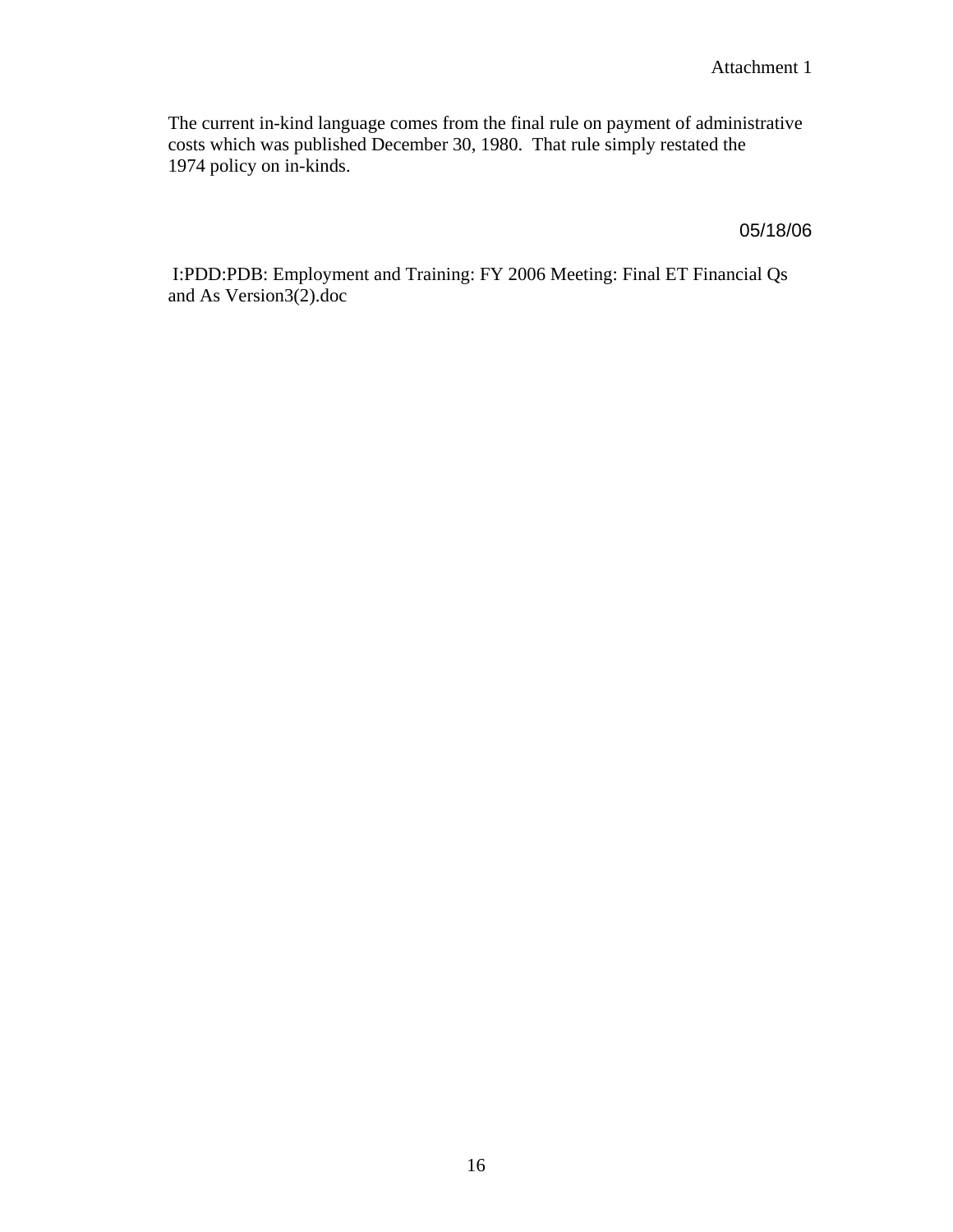The current in-kind language comes from the final rule on payment of administrative costs which was published December 30, 1980. That rule simply restated the 1974 policy on in-kinds.

05/18/06

 I:PDD:PDB: Employment and Training: FY 2006 Meeting: Final ET Financial Qs and As Version3(2).doc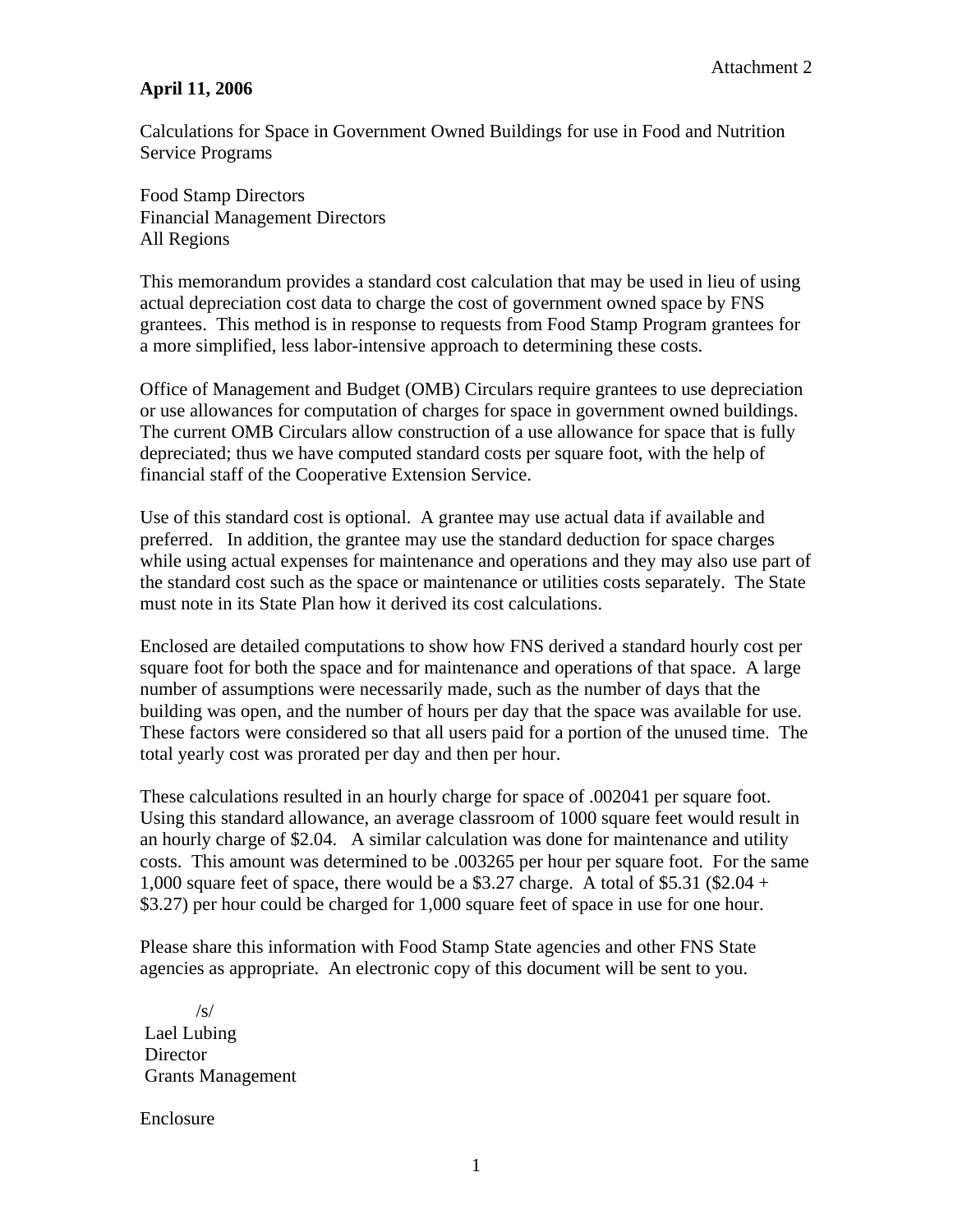#### **April 11, 2006**

Calculations for Space in Government Owned Buildings for use in Food and Nutrition Service Programs

Food Stamp Directors Financial Management Directors All Regions

This memorandum provides a standard cost calculation that may be used in lieu of using actual depreciation cost data to charge the cost of government owned space by FNS grantees. This method is in response to requests from Food Stamp Program grantees for a more simplified, less labor-intensive approach to determining these costs.

Office of Management and Budget (OMB) Circulars require grantees to use depreciation or use allowances for computation of charges for space in government owned buildings. The current OMB Circulars allow construction of a use allowance for space that is fully depreciated; thus we have computed standard costs per square foot, with the help of financial staff of the Cooperative Extension Service.

Use of this standard cost is optional. A grantee may use actual data if available and preferred. In addition, the grantee may use the standard deduction for space charges while using actual expenses for maintenance and operations and they may also use part of the standard cost such as the space or maintenance or utilities costs separately. The State must note in its State Plan how it derived its cost calculations.

Enclosed are detailed computations to show how FNS derived a standard hourly cost per square foot for both the space and for maintenance and operations of that space. A large number of assumptions were necessarily made, such as the number of days that the building was open, and the number of hours per day that the space was available for use. These factors were considered so that all users paid for a portion of the unused time. The total yearly cost was prorated per day and then per hour.

These calculations resulted in an hourly charge for space of .002041 per square foot. Using this standard allowance, an average classroom of 1000 square feet would result in an hourly charge of \$2.04. A similar calculation was done for maintenance and utility costs. This amount was determined to be .003265 per hour per square foot. For the same 1,000 square feet of space, there would be a \$3.27 charge. A total of \$5.31 (\$2.04 + \$3.27) per hour could be charged for 1,000 square feet of space in use for one hour.

Please share this information with Food Stamp State agencies and other FNS State agencies as appropriate. An electronic copy of this document will be sent to you.

 /s/ Lael Lubing **Director** Grants Management

Enclosure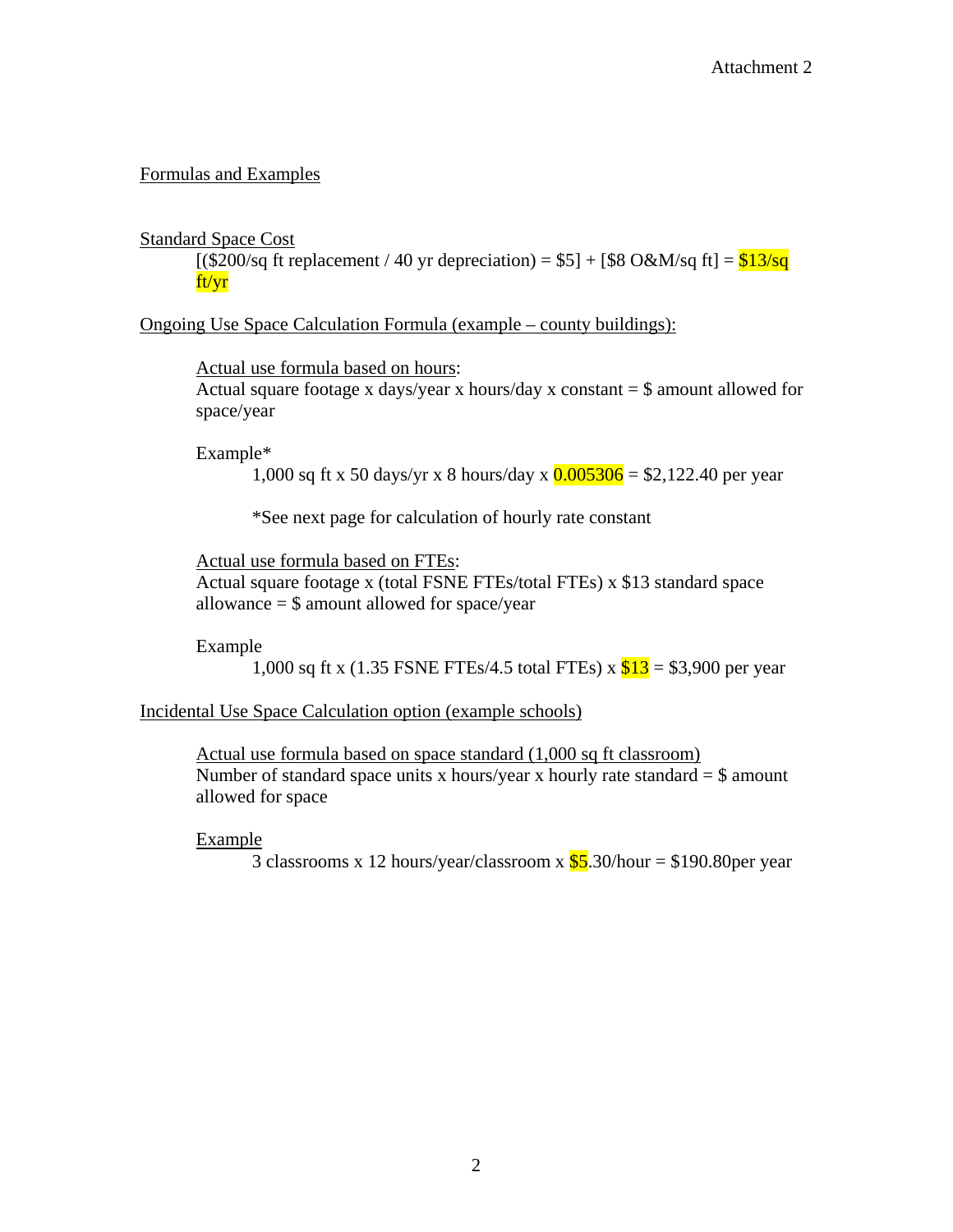## Formulas and Examples

## Standard Space Cost

 $[(\$200/\text{sq ft replacement} / 40 \text{ yr depreciation}) = \$5] + [\$8 O\&M/\text{sq ft}] = \$13/\text{sq}$ ft/yr

Ongoing Use Space Calculation Formula (example – county buildings):

Actual use formula based on hours: Actual square footage x days/year x hours/day x constant  $=$  \$ amount allowed for space/year

Example\*

1,000 sq ft x 50 days/yr x 8 hours/day x  $0.005306 = $2,122.40$  per year

\*See next page for calculation of hourly rate constant

Actual use formula based on FTEs:

Actual square footage x (total FSNE FTEs/total FTEs) x \$13 standard space allowance = \$ amount allowed for space/year

Example

1,000 sq ft x (1.35 FSNE FTEs/4.5 total FTEs) x  $$13 = $3,900$  per year

Incidental Use Space Calculation option (example schools)

Actual use formula based on space standard (1,000 sq ft classroom) Number of standard space units x hours/year x hourly rate standard  $=$  \$ amount allowed for space

Example

3 classrooms x 12 hours/year/classroom x  $\frac{$5}{5}$ .30/hour = \$190.80 per year